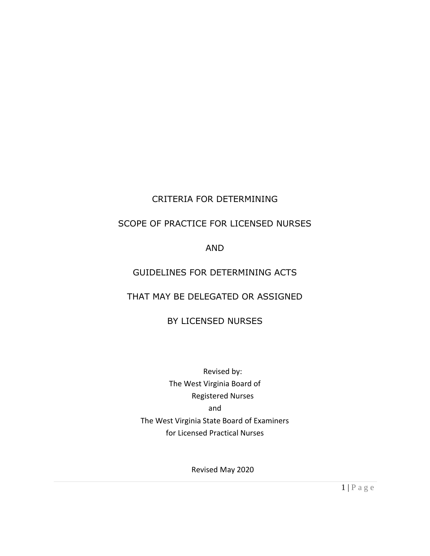# CRITERIA FOR DETERMINING

# SCOPE OF PRACTICE FOR LICENSED NURSES

# AND

# GUIDELINES FOR DETERMINING ACTS

# THAT MAY BE DELEGATED OR ASSIGNED

# BY LICENSED NURSES

Revised by: The West Virginia Board of Registered Nurses and The West Virginia State Board of Examiners for Licensed Practical Nurses

Revised May 2020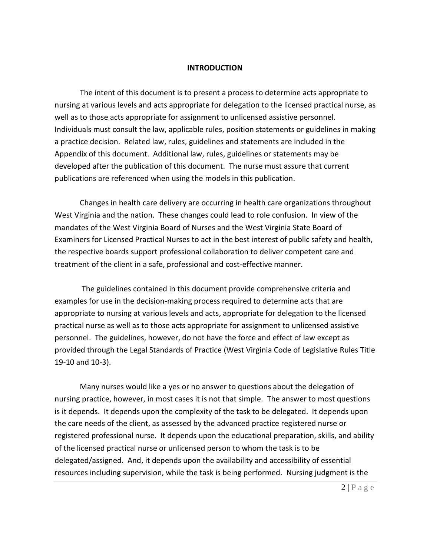#### **INTRODUCTION**

The intent of this document is to present a process to determine acts appropriate to nursing at various levels and acts appropriate for delegation to the licensed practical nurse, as well as to those acts appropriate for assignment to unlicensed assistive personnel. Individuals must consult the law, applicable rules, position statements or guidelines in making a practice decision. Related law, rules, guidelines and statements are included in the Appendix of this document. Additional law, rules, guidelines or statements may be developed after the publication of this document. The nurse must assure that current publications are referenced when using the models in this publication.

Changes in health care delivery are occurring in health care organizations throughout West Virginia and the nation. These changes could lead to role confusion. In view of the mandates of the West Virginia Board of Nurses and the West Virginia State Board of Examiners for Licensed Practical Nurses to act in the best interest of public safety and health, the respective boards support professional collaboration to deliver competent care and treatment of the client in a safe, professional and cost-effective manner.

The guidelines contained in this document provide comprehensive criteria and examples for use in the decision-making process required to determine acts that are appropriate to nursing at various levels and acts, appropriate for delegation to the licensed practical nurse as well as to those acts appropriate for assignment to unlicensed assistive personnel. The guidelines, however, do not have the force and effect of law except as provided through the Legal Standards of Practice (West Virginia Code of Legislative Rules Title 19-10 and 10-3).

Many nurses would like a yes or no answer to questions about the delegation of nursing practice, however, in most cases it is not that simple. The answer to most questions is it depends. It depends upon the complexity of the task to be delegated. It depends upon the care needs of the client, as assessed by the advanced practice registered nurse or registered professional nurse. It depends upon the educational preparation, skills, and ability of the licensed practical nurse or unlicensed person to whom the task is to be delegated/assigned. And, it depends upon the availability and accessibility of essential resources including supervision, while the task is being performed. Nursing judgment is the

 $2 | P a g e$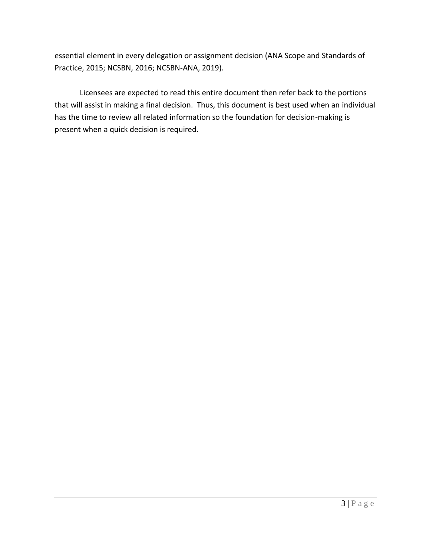essential element in every delegation or assignment decision (ANA Scope and Standards of Practice, 2015; NCSBN, 2016; NCSBN-ANA, 2019).

Licensees are expected to read this entire document then refer back to the portions that will assist in making a final decision. Thus, this document is best used when an individual has the time to review all related information so the foundation for decision-making is present when a quick decision is required.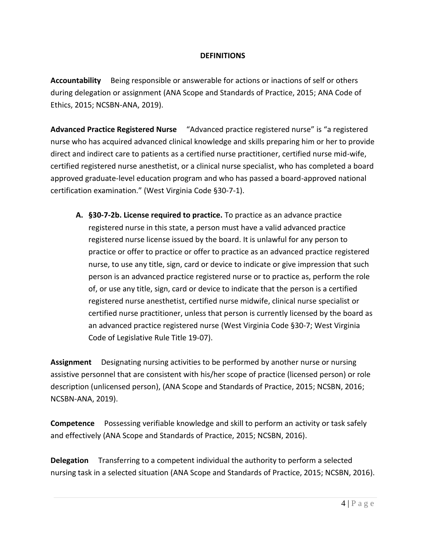### **DEFINITIONS**

**Accountability** Being responsible or answerable for actions or inactions of self or others during delegation or assignment (ANA Scope and Standards of Practice, 2015; ANA Code of Ethics, 2015; NCSBN-ANA, 2019).

**Advanced Practice Registered Nurse** "Advanced practice registered nurse" is "a registered nurse who has acquired advanced clinical knowledge and skills preparing him or her to provide direct and indirect care to patients as a certified nurse practitioner, certified nurse mid-wife, certified registered nurse anesthetist, or a clinical nurse specialist, who has completed a board approved graduate-level education program and who has passed a board-approved national certification examination." (West Virginia Code §30-7-1).

**A. §30-7-2b. License required to practice.** To practice as an advance practice registered nurse in this state, a person must have a valid advanced practice registered nurse license issued by the board. It is unlawful for any person to practice or offer to practice or offer to practice as an advanced practice registered nurse, to use any title, sign, card or device to indicate or give impression that such person is an advanced practice registered nurse or to practice as, perform the role of, or use any title, sign, card or device to indicate that the person is a certified registered nurse anesthetist, certified nurse midwife, clinical nurse specialist or certified nurse practitioner, unless that person is currently licensed by the board as an advanced practice registered nurse (West Virginia Code §30-7; West Virginia Code of Legislative Rule Title 19-07).

**Assignment** Designating nursing activities to be performed by another nurse or nursing assistive personnel that are consistent with his/her scope of practice (licensed person) or role description (unlicensed person), (ANA Scope and Standards of Practice, 2015; NCSBN, 2016; NCSBN-ANA, 2019).

**Competence** Possessing verifiable knowledge and skill to perform an activity or task safely and effectively (ANA Scope and Standards of Practice, 2015; NCSBN, 2016).

**Delegation** Transferring to a competent individual the authority to perform a selected nursing task in a selected situation (ANA Scope and Standards of Practice, 2015; NCSBN, 2016).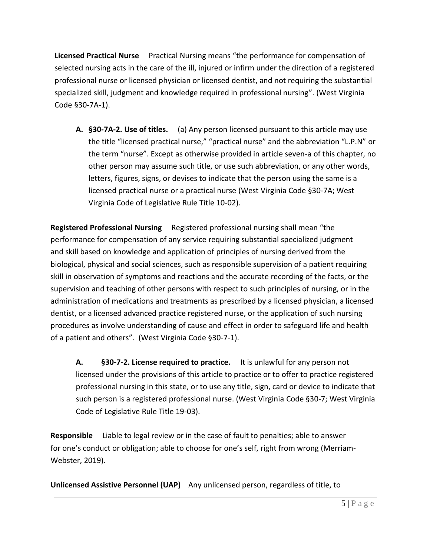**Licensed Practical Nurse** Practical Nursing means "the performance for compensation of selected nursing acts in the care of the ill, injured or infirm under the direction of a registered professional nurse or licensed physician or licensed dentist, and not requiring the substantial specialized skill, judgment and knowledge required in professional nursing". (West Virginia Code §30-7A-1).

**A. §30-7A-2. Use of titles.** (a) Any person licensed pursuant to this article may use the title "licensed practical nurse," "practical nurse" and the abbreviation "L.P.N" or the term "nurse". Except as otherwise provided in article seven-a of this chapter, no other person may assume such title, or use such abbreviation, or any other words, letters, figures, signs, or devises to indicate that the person using the same is a licensed practical nurse or a practical nurse (West Virginia Code §30-7A; West Virginia Code of Legislative Rule Title 10-02).

**Registered Professional Nursing** Registered professional nursing shall mean "the performance for compensation of any service requiring substantial specialized judgment and skill based on knowledge and application of principles of nursing derived from the biological, physical and social sciences, such as responsible supervision of a patient requiring skill in observation of symptoms and reactions and the accurate recording of the facts, or the supervision and teaching of other persons with respect to such principles of nursing, or in the administration of medications and treatments as prescribed by a licensed physician, a licensed dentist, or a licensed advanced practice registered nurse, or the application of such nursing procedures as involve understanding of cause and effect in order to safeguard life and health of a patient and others". (West Virginia Code §30-7-1).

**A. §30-7-2. License required to practice.** It is unlawful for any person not licensed under the provisions of this article to practice or to offer to practice registered professional nursing in this state, or to use any title, sign, card or device to indicate that such person is a registered professional nurse. (West Virginia Code §30-7; West Virginia Code of Legislative Rule Title 19-03).

**Responsible** Liable to legal review or in the case of fault to penalties; able to answer for one's conduct or obligation; able to choose for one's self, right from wrong (Merriam-Webster, 2019).

**Unlicensed Assistive Personnel (UAP)** Any unlicensed person, regardless of title, to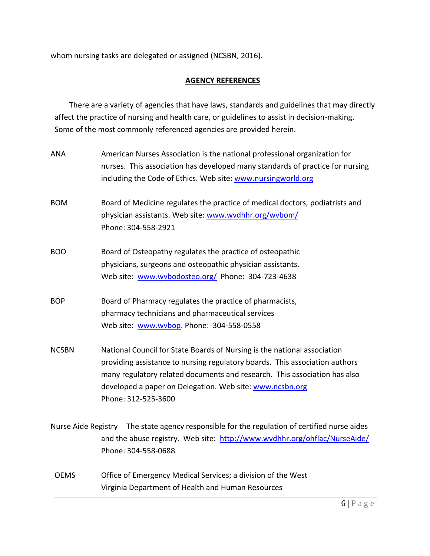whom nursing tasks are delegated or assigned (NCSBN, 2016).

### **AGENCY REFERENCES**

There are a variety of agencies that have laws, standards and guidelines that may directly affect the practice of nursing and health care, or guidelines to assist in decision-making. Some of the most commonly referenced agencies are provided herein.

| <b>ANA</b>                                                                                      | American Nurses Association is the national professional organization for     |
|-------------------------------------------------------------------------------------------------|-------------------------------------------------------------------------------|
|                                                                                                 | nurses. This association has developed many standards of practice for nursing |
|                                                                                                 | including the Code of Ethics. Web site: www.nursingworld.org                  |
| <b>BOM</b>                                                                                      | Board of Medicine regulates the practice of medical doctors, podiatrists and  |
|                                                                                                 | physician assistants. Web site: www.wvdhhr.org/wvbom/                         |
|                                                                                                 | Phone: 304-558-2921                                                           |
| <b>BOO</b>                                                                                      | Board of Osteopathy regulates the practice of osteopathic                     |
|                                                                                                 | physicians, surgeons and osteopathic physician assistants.                    |
|                                                                                                 | Web site: www.wvbodosteo.org/ Phone: 304-723-4638                             |
| <b>BOP</b>                                                                                      | Board of Pharmacy regulates the practice of pharmacists,                      |
|                                                                                                 | pharmacy technicians and pharmaceutical services                              |
|                                                                                                 | Web site: www.wvbop. Phone: 304-558-0558                                      |
| <b>NCSBN</b>                                                                                    | National Council for State Boards of Nursing is the national association      |
|                                                                                                 | providing assistance to nursing regulatory boards. This association authors   |
|                                                                                                 | many regulatory related documents and research. This association has also     |
|                                                                                                 | developed a paper on Delegation. Web site: www.ncsbn.org                      |
|                                                                                                 | Phone: 312-525-3600                                                           |
| The state agency responsible for the regulation of certified nurse aides<br>Nurse Aide Registry |                                                                               |
|                                                                                                 | and the abuse registry. Web site: http://www.wvdhhr.org/ohflac/NurseAide/     |
|                                                                                                 | Phone: 304-558-0688                                                           |
| <b>OEMS</b>                                                                                     | Office of Emergency Medical Services; a division of the West                  |
|                                                                                                 | Virginia Department of Health and Human Resources                             |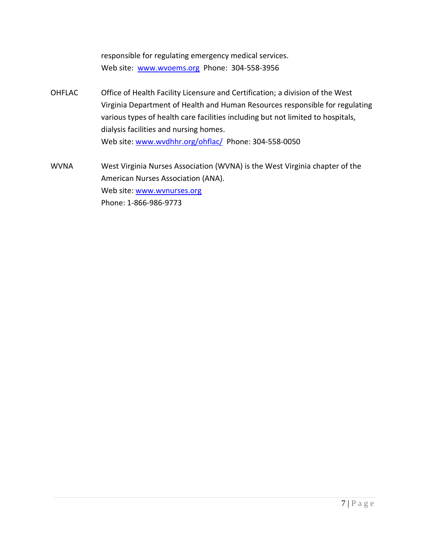responsible for regulating emergency medical services. Web site: [www.wvoems.org](http://www.wvoems.org/) Phone: 304-558-3956

- OHFLAC Office of Health Facility Licensure and Certification; a division of the West Virginia Department of Health and Human Resources responsible for regulating various types of health care facilities including but not limited to hospitals, dialysis facilities and nursing homes. Web site: [www.wvdhhr.org/ohflac/](http://www.wvdhhr.org/ohflac/) Phone: 304-558-0050
- WVNA West Virginia Nurses Association (WVNA) is the West Virginia chapter of the American Nurses Association (ANA). Web site: www.wvnurses.org Phone: 1-866-986-9773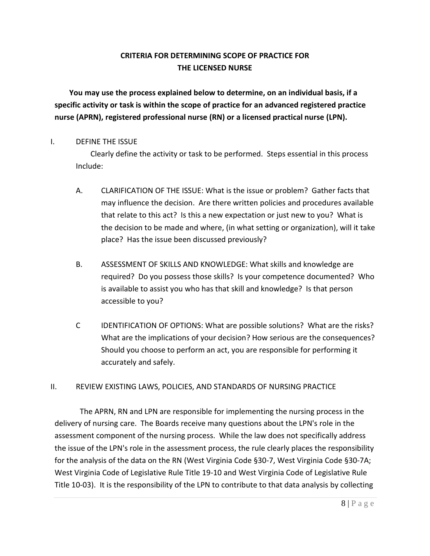# **CRITERIA FOR DETERMINING SCOPE OF PRACTICE FOR THE LICENSED NURSE**

**You may use the process explained below to determine, on an individual basis, if a specific activity or task is within the scope of practice for an advanced registered practice nurse (APRN), registered professional nurse (RN) or a licensed practical nurse (LPN).**

### I. DEFINE THE ISSUE

Clearly define the activity or task to be performed. Steps essential in this process Include:

- A. CLARIFICATION OF THE ISSUE: What is the issue or problem? Gather facts that may influence the decision. Are there written policies and procedures available that relate to this act? Is this a new expectation or just new to you? What is the decision to be made and where, (in what setting or organization), will it take place? Has the issue been discussed previously?
- B. ASSESSMENT OF SKILLS AND KNOWLEDGE: What skills and knowledge are required? Do you possess those skills? Is your competence documented? Who is available to assist you who has that skill and knowledge? Is that person accessible to you?
- C IDENTIFICATION OF OPTIONS: What are possible solutions? What are the risks? What are the implications of your decision? How serious are the consequences? Should you choose to perform an act, you are responsible for performing it accurately and safely.

# II. REVIEW EXISTING LAWS, POLICIES, AND STANDARDS OF NURSING PRACTICE

The APRN, RN and LPN are responsible for implementing the nursing process in the delivery of nursing care. The Boards receive many questions about the LPN's role in the assessment component of the nursing process. While the law does not specifically address the issue of the LPN's role in the assessment process, the rule clearly places the responsibility for the analysis of the data on the RN (West Virginia Code §30-7, West Virginia Code §30-7A; West Virginia Code of Legislative Rule Title 19-10 and West Virginia Code of Legislative Rule Title 10-03). It is the responsibility of the LPN to contribute to that data analysis by collecting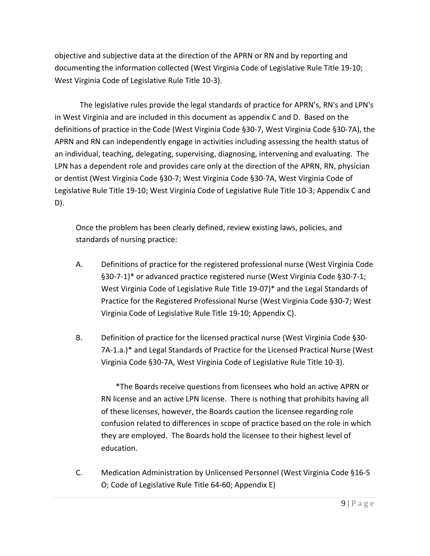objective and subjective data at the direction of the APRN or RN and by reporting and documenting the information collected (West Virginia Code of Legislative Rule Title 19-10; West Virginia Code of Legislative Rule Title 10-3).

The legislative rules provide the legal standards of practice for APRN's, RN's and LPN's in West Virginia and are included in this document as appendix C and D. Based on the definitions of practice in the Code (West Virginia Code §30-7, West Virginia Code §30-7A), the APRN and RN can independently engage in activities including assessing the health status of an individual, teaching, delegating, supervising, diagnosing, intervening and evaluating. The LPN has a dependent role and provides care only at the direction of the APRN, RN, physician or dentist (West Virginia Code §30-7; West Virginia Code §30-7A, West Virginia Code of Legislative Rule Title 19-10; West Virginia Code of Legislative Rule Title 10-3; Appendix C and D).

Once the problem has been clearly defined, review existing laws, policies, and standards of nursing practice:

- A. Definitions of practice for the registered professional nurse (West Virginia Code §30-7-1)\* or advanced practice registered nurse (West Virginia Code §30-7-1; West Virginia Code of Legislative Rule Title 19-07)\* and the Legal Standards of Practice for the Registered Professional Nurse (West Virginia Code §30-7; West Virginia Code of Legislative Rule Title 19-10; Appendix C).
- B. Definition of practice for the licensed practical nurse (West Virginia Code §30- 7A-1.a.)\* and Legal Standards of Practice for the Licensed Practical Nurse (West Virginia Code §30-7A, West Virginia Code of Legislative Rule Title 10-3).

\*The Boards receive questions from licensees who hold an active APRN or RN license and an active LPN license. There is nothing that prohibits having all of these licenses, however, the Boards caution the licensee regarding role confusion related to differences in scope of practice based on the role in which they are employed. The Boards hold the licensee to their highest level of education.

C. Medication Administration by Unlicensed Personnel (West Virginia Code §16-5 O; Code of Legislative Rule Title 64-60; Appendix E)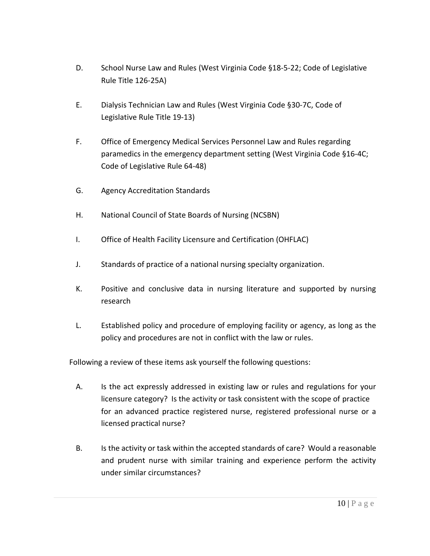- D. School Nurse Law and Rules (West Virginia Code §18-5-22; Code of Legislative Rule Title 126-25A)
- E. Dialysis Technician Law and Rules (West Virginia Code §30-7C, Code of Legislative Rule Title 19-13)
- F. Office of Emergency Medical Services Personnel Law and Rules regarding paramedics in the emergency department setting (West Virginia Code §16-4C; Code of Legislative Rule 64-48)
- G. Agency Accreditation Standards
- H. National Council of State Boards of Nursing (NCSBN)
- I. Office of Health Facility Licensure and Certification (OHFLAC)
- J. Standards of practice of a national nursing specialty organization.
- K. Positive and conclusive data in nursing literature and supported by nursing research
- L. Established policy and procedure of employing facility or agency, as long as the policy and procedures are not in conflict with the law or rules.

Following a review of these items ask yourself the following questions:

- A. Is the act expressly addressed in existing law or rules and regulations for your licensure category? Is the activity or task consistent with the scope of practice for an advanced practice registered nurse, registered professional nurse or a licensed practical nurse?
- B. Is the activity or task within the accepted standards of care? Would a reasonable and prudent nurse with similar training and experience perform the activity under similar circumstances?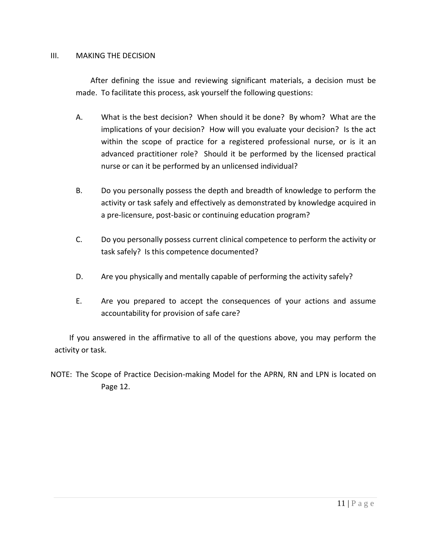#### III. MAKING THE DECISION

After defining the issue and reviewing significant materials, a decision must be made. To facilitate this process, ask yourself the following questions:

- A. What is the best decision? When should it be done? By whom? What are the implications of your decision? How will you evaluate your decision? Is the act within the scope of practice for a registered professional nurse, or is it an advanced practitioner role? Should it be performed by the licensed practical nurse or can it be performed by an unlicensed individual?
- B. Do you personally possess the depth and breadth of knowledge to perform the activity or task safely and effectively as demonstrated by knowledge acquired in a pre-licensure, post-basic or continuing education program?
- C. Do you personally possess current clinical competence to perform the activity or task safely? Is this competence documented?
- D. Are you physically and mentally capable of performing the activity safely?
- E. Are you prepared to accept the consequences of your actions and assume accountability for provision of safe care?

If you answered in the affirmative to all of the questions above, you may perform the activity or task.

NOTE: The Scope of Practice Decision-making Model for the APRN, RN and LPN is located on Page 12.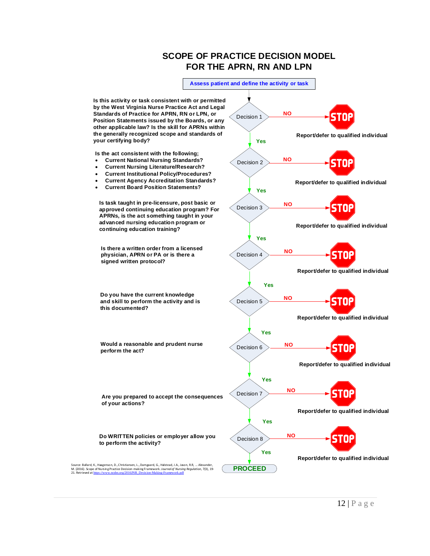# **SCOPE OF PRACTICE DECISION MODEL FOR THE APRN, RN AND LPN**

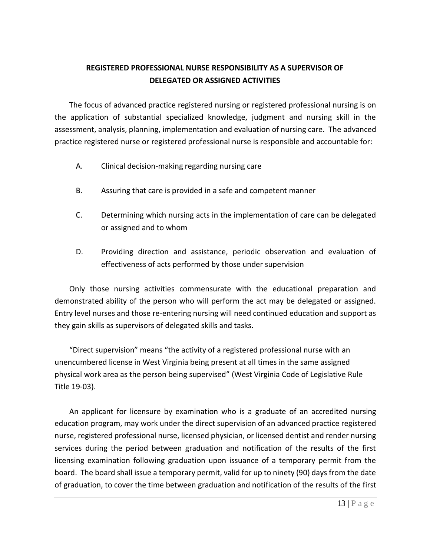# **REGISTERED PROFESSIONAL NURSE RESPONSIBILITY AS A SUPERVISOR OF DELEGATED OR ASSIGNED ACTIVITIES**

The focus of advanced practice registered nursing or registered professional nursing is on the application of substantial specialized knowledge, judgment and nursing skill in the assessment, analysis, planning, implementation and evaluation of nursing care. The advanced practice registered nurse or registered professional nurse is responsible and accountable for:

- A. Clinical decision-making regarding nursing care
- B. Assuring that care is provided in a safe and competent manner
- C. Determining which nursing acts in the implementation of care can be delegated or assigned and to whom
- D. Providing direction and assistance, periodic observation and evaluation of effectiveness of acts performed by those under supervision

Only those nursing activities commensurate with the educational preparation and demonstrated ability of the person who will perform the act may be delegated or assigned. Entry level nurses and those re-entering nursing will need continued education and support as they gain skills as supervisors of delegated skills and tasks.

"Direct supervision" means "the activity of a registered professional nurse with an unencumbered license in West Virginia being present at all times in the same assigned physical work area as the person being supervised" (West Virginia Code of Legislative Rule Title 19-03).

An applicant for licensure by examination who is a graduate of an accredited nursing education program, may work under the direct supervision of an advanced practice registered nurse, registered professional nurse, licensed physician, or licensed dentist and render nursing services during the period between graduation and notification of the results of the first licensing examination following graduation upon issuance of a temporary permit from the board. The board shall issue a temporary permit, valid for up to ninety (90) days from the date of graduation, to cover the time between graduation and notification of the results of the first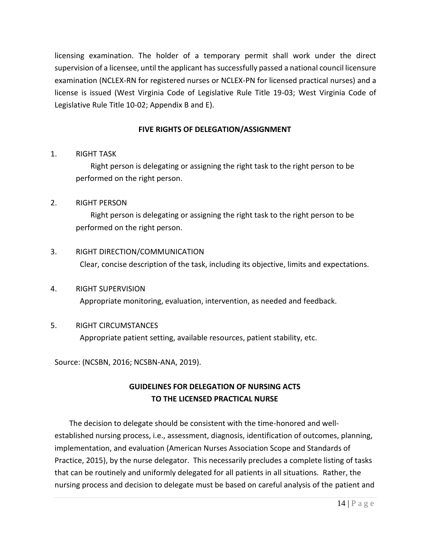licensing examination. The holder of a temporary permit shall work under the direct supervision of a licensee, until the applicant has successfully passed a national council licensure examination (NCLEX-RN for registered nurses or NCLEX-PN for licensed practical nurses) and a license is issued (West Virginia Code of Legislative Rule Title 19-03; West Virginia Code of Legislative Rule Title 10-02; Appendix B and E).

# **FIVE RIGHTS OF DELEGATION/ASSIGNMENT**

### 1. RIGHT TASK

Right person is delegating or assigning the right task to the right person to be performed on the right person.

### 2. RIGHT PERSON

Right person is delegating or assigning the right task to the right person to be performed on the right person.

# 3. RIGHT DIRECTION/COMMUNICATION Clear, concise description of the task, including its objective, limits and expectations.

# 4. RIGHT SUPERVISION Appropriate monitoring, evaluation, intervention, as needed and feedback.

# 5. RIGHT CIRCUMSTANCES

Appropriate patient setting, available resources, patient stability, etc.

Source: (NCSBN, 2016; NCSBN-ANA, 2019).

# **GUIDELINES FOR DELEGATION OF NURSING ACTS TO THE LICENSED PRACTICAL NURSE**

The decision to delegate should be consistent with the time-honored and wellestablished nursing process, i.e., assessment, diagnosis, identification of outcomes, planning, implementation, and evaluation (American Nurses Association Scope and Standards of Practice, 2015), by the nurse delegator. This necessarily precludes a complete listing of tasks that can be routinely and uniformly delegated for all patients in all situations. Rather, the nursing process and decision to delegate must be based on careful analysis of the patient and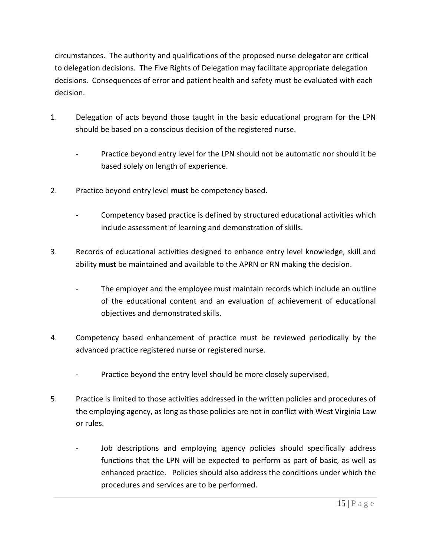circumstances. The authority and qualifications of the proposed nurse delegator are critical to delegation decisions. The Five Rights of Delegation may facilitate appropriate delegation decisions. Consequences of error and patient health and safety must be evaluated with each decision.

- 1. Delegation of acts beyond those taught in the basic educational program for the LPN should be based on a conscious decision of the registered nurse.
	- Practice beyond entry level for the LPN should not be automatic nor should it be based solely on length of experience.
- 2. Practice beyond entry level **must** be competency based.
	- Competency based practice is defined by structured educational activities which include assessment of learning and demonstration of skills.
- 3. Records of educational activities designed to enhance entry level knowledge, skill and ability **must** be maintained and available to the APRN or RN making the decision.
	- The employer and the employee must maintain records which include an outline of the educational content and an evaluation of achievement of educational objectives and demonstrated skills.
- 4. Competency based enhancement of practice must be reviewed periodically by the advanced practice registered nurse or registered nurse.
	- Practice beyond the entry level should be more closely supervised.
- 5. Practice is limited to those activities addressed in the written policies and procedures of the employing agency, as long as those policies are not in conflict with West Virginia Law or rules.
	- Job descriptions and employing agency policies should specifically address functions that the LPN will be expected to perform as part of basic, as well as enhanced practice. Policies should also address the conditions under which the procedures and services are to be performed.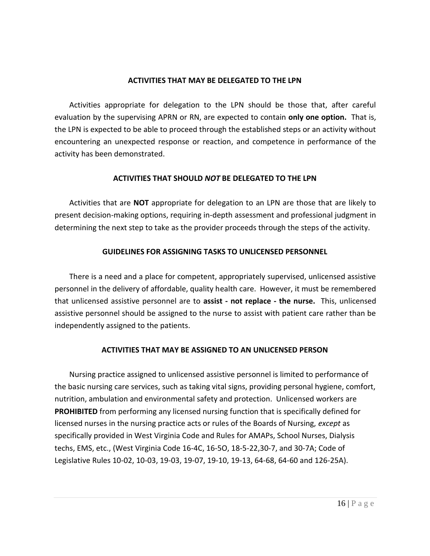#### **ACTIVITIES THAT MAY BE DELEGATED TO THE LPN**

Activities appropriate for delegation to the LPN should be those that, after careful evaluation by the supervising APRN or RN, are expected to contain **only one option.** That is, the LPN is expected to be able to proceed through the established steps or an activity without encountering an unexpected response or reaction, and competence in performance of the activity has been demonstrated.

### **ACTIVITIES THAT SHOULD** *NOT* **BE DELEGATED TO THE LPN**

Activities that are **NOT** appropriate for delegation to an LPN are those that are likely to present decision-making options, requiring in-depth assessment and professional judgment in determining the next step to take as the provider proceeds through the steps of the activity.

# **GUIDELINES FOR ASSIGNING TASKS TO UNLICENSED PERSONNEL**

There is a need and a place for competent, appropriately supervised, unlicensed assistive personnel in the delivery of affordable, quality health care. However, it must be remembered that unlicensed assistive personnel are to **assist - not replace - the nurse.** This, unlicensed assistive personnel should be assigned to the nurse to assist with patient care rather than be independently assigned to the patients.

# **ACTIVITIES THAT MAY BE ASSIGNED TO AN UNLICENSED PERSON**

Nursing practice assigned to unlicensed assistive personnel is limited to performance of the basic nursing care services, such as taking vital signs, providing personal hygiene, comfort, nutrition, ambulation and environmental safety and protection. Unlicensed workers are **PROHIBITED** from performing any licensed nursing function that is specifically defined for licensed nurses in the nursing practice acts or rules of the Boards of Nursing, *except* as specifically provided in West Virginia Code and Rules for AMAPs, School Nurses, Dialysis techs, EMS, etc., (West Virginia Code 16-4C, 16-5O, 18-5-22,30-7, and 30-7A; Code of Legislative Rules 10-02, 10-03, 19-03, 19-07, 19-10, 19-13, 64-68, 64-60 and 126-25A).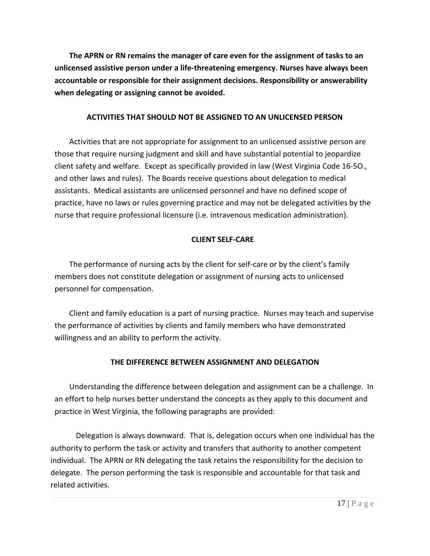**The APRN or RN remains the manager of care even for the assignment of tasks to an unlicensed assistive person under a life-threatening emergency. Nurses have always been accountable or responsible for their assignment decisions. Responsibility or answerability when delegating or assigning cannot be avoided.**

### **ACTIVITIES THAT SHOULD NOT BE ASSIGNED TO AN UNLICENSED PERSON**

Activities that are not appropriate for assignment to an unlicensed assistive person are those that require nursing judgment and skill and have substantial potential to jeopardize client safety and welfare. Except as specifically provided in law (West Virginia Code 16-5O., and other laws and rules). The Boards receive questions about delegation to medical assistants. Medical assistants are unlicensed personnel and have no defined scope of practice, have no laws or rules governing practice and may not be delegated activities by the nurse that require professional licensure (i.e. intravenous medication administration).

# **CLIENT SELF-CARE**

The performance of nursing acts by the client for self-care or by the client's family members does not constitute delegation or assignment of nursing acts to unlicensed personnel for compensation.

Client and family education is a part of nursing practice. Nurses may teach and supervise the performance of activities by clients and family members who have demonstrated willingness and an ability to perform the activity.

# **THE DIFFERENCE BETWEEN ASSIGNMENT AND DELEGATION**

Understanding the difference between delegation and assignment can be a challenge. In an effort to help nurses better understand the concepts as they apply to this document and practice in West Virginia, the following paragraphs are provided:

Delegation is always downward. That is, delegation occurs when one individual has the authority to perform the task or activity and transfers that authority to another competent individual. The APRN or RN delegating the task retains the responsibility for the decision to delegate. The person performing the task is responsible and accountable for that task and related activities.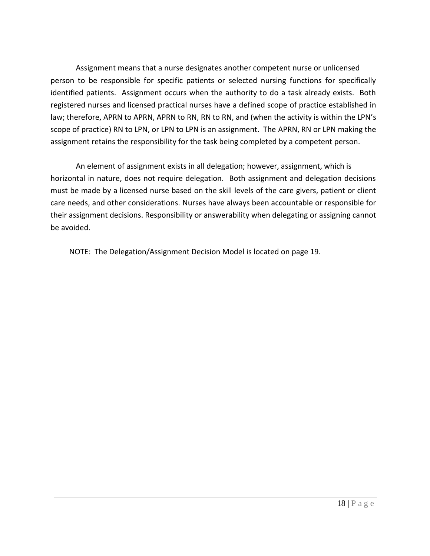Assignment means that a nurse designates another competent nurse or unlicensed person to be responsible for specific patients or selected nursing functions for specifically identified patients. Assignment occurs when the authority to do a task already exists. Both registered nurses and licensed practical nurses have a defined scope of practice established in law; therefore, APRN to APRN, APRN to RN, RN to RN, and (when the activity is within the LPN's scope of practice) RN to LPN, or LPN to LPN is an assignment. The APRN, RN or LPN making the assignment retains the responsibility for the task being completed by a competent person.

An element of assignment exists in all delegation; however, assignment, which is horizontal in nature, does not require delegation. Both assignment and delegation decisions must be made by a licensed nurse based on the skill levels of the care givers, patient or client care needs, and other considerations. Nurses have always been accountable or responsible for their assignment decisions. Responsibility or answerability when delegating or assigning cannot be avoided.

NOTE: The Delegation/Assignment Decision Model is located on page 19.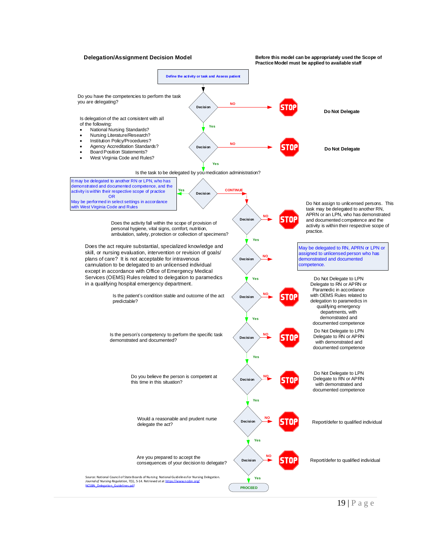

19 | P a g e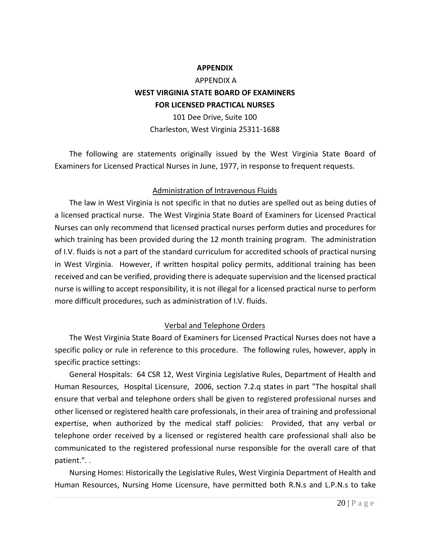#### **APPENDIX**

# APPENDIX A **WEST VIRGINIA STATE BOARD OF EXAMINERS FOR LICENSED PRACTICAL NURSES**

101 Dee Drive, Suite 100 Charleston, West Virginia 25311-1688

The following are statements originally issued by the West Virginia State Board of Examiners for Licensed Practical Nurses in June, 1977, in response to frequent requests.

### Administration of Intravenous Fluids

The law in West Virginia is not specific in that no duties are spelled out as being duties of a licensed practical nurse. The West Virginia State Board of Examiners for Licensed Practical Nurses can only recommend that licensed practical nurses perform duties and procedures for which training has been provided during the 12 month training program. The administration of I.V. fluids is not a part of the standard curriculum for accredited schools of practical nursing in West Virginia. However, if written hospital policy permits, additional training has been received and can be verified, providing there is adequate supervision and the licensed practical nurse is willing to accept responsibility, it is not illegal for a licensed practical nurse to perform more difficult procedures, such as administration of I.V. fluids.

### Verbal and Telephone Orders

The West Virginia State Board of Examiners for Licensed Practical Nurses does not have a specific policy or rule in reference to this procedure. The following rules, however, apply in specific practice settings:

General Hospitals: 64 CSR 12, West Virginia Legislative Rules, Department of Health and Human Resources, Hospital Licensure, 2006, section 7.2.q states in part "The hospital shall ensure that verbal and telephone orders shall be given to registered professional nurses and other licensed or registered health care professionals, in their area of training and professional expertise, when authorized by the medical staff policies: Provided, that any verbal or telephone order received by a licensed or registered health care professional shall also be communicated to the registered professional nurse responsible for the overall care of that patient.". .

Nursing Homes: Historically the Legislative Rules, West Virginia Department of Health and Human Resources, Nursing Home Licensure, have permitted both R.N.s and L.P.N.s to take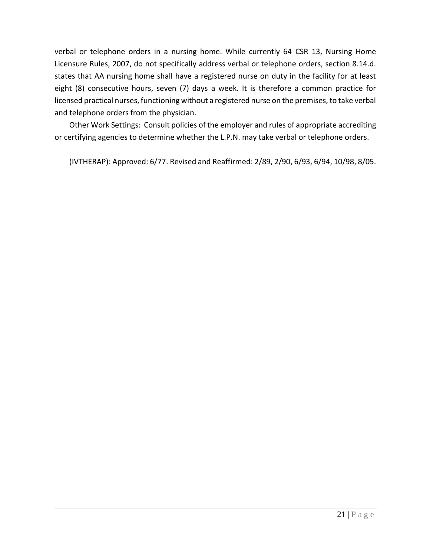verbal or telephone orders in a nursing home. While currently 64 CSR 13, Nursing Home Licensure Rules, 2007, do not specifically address verbal or telephone orders, section 8.14.d. states that AA nursing home shall have a registered nurse on duty in the facility for at least eight (8) consecutive hours, seven (7) days a week. It is therefore a common practice for licensed practical nurses, functioning without a registered nurse on the premises, to take verbal and telephone orders from the physician.

Other Work Settings: Consult policies of the employer and rules of appropriate accrediting or certifying agencies to determine whether the L.P.N. may take verbal or telephone orders.

(IVTHERAP): Approved: 6/77. Revised and Reaffirmed: 2/89, 2/90, 6/93, 6/94, 10/98, 8/05.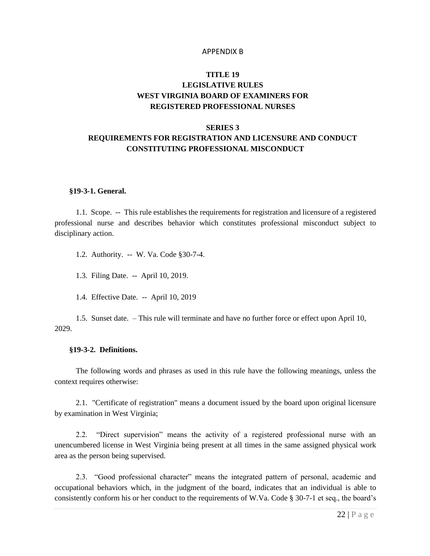#### APPENDIX B

# **TITLE 19 LEGISLATIVE RULES WEST VIRGINIA BOARD OF EXAMINERS FOR REGISTERED PROFESSIONAL NURSES**

#### **SERIES 3**

# **REQUIREMENTS FOR REGISTRATION AND LICENSURE AND CONDUCT CONSTITUTING PROFESSIONAL MISCONDUCT**

#### **§19-3-1. General.**

1.1. Scope. -- This rule establishes the requirements for registration and licensure of a registered professional nurse and describes behavior which constitutes professional misconduct subject to disciplinary action.

1.2. Authority. -- W. Va. Code §30-7-4.

1.3. Filing Date. -- April 10, 2019.

1.4. Effective Date. -- April 10, 2019

1.5. Sunset date. – This rule will terminate and have no further force or effect upon April 10, 2029.

#### **§19-3-2. Definitions.**

The following words and phrases as used in this rule have the following meanings, unless the context requires otherwise:

2.1. "Certificate of registration" means a document issued by the board upon original licensure by examination in West Virginia;

2.2. "Direct supervision" means the activity of a registered professional nurse with an unencumbered license in West Virginia being present at all times in the same assigned physical work area as the person being supervised.

2.3. "Good professional character" means the integrated pattern of personal, academic and occupational behaviors which, in the judgment of the board, indicates that an individual is able to consistently conform his or her conduct to the requirements of W.Va. Code § 30-7-1 et seq., the board's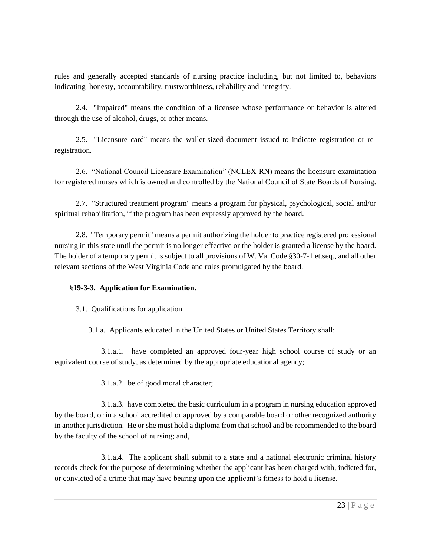rules and generally accepted standards of nursing practice including, but not limited to, behaviors indicating honesty, accountability, trustworthiness, reliability and integrity.

2.4. "Impaired" means the condition of a licensee whose performance or behavior is altered through the use of alcohol, drugs, or other means.

2.5. "Licensure card" means the wallet-sized document issued to indicate registration or reregistration.

2.6. "National Council Licensure Examination" (NCLEX-RN) means the licensure examination for registered nurses which is owned and controlled by the National Council of State Boards of Nursing.

2.7. "Structured treatment program" means a program for physical, psychological, social and/or spiritual rehabilitation, if the program has been expressly approved by the board.

2.8. "Temporary permit" means a permit authorizing the holder to practice registered professional nursing in this state until the permit is no longer effective or the holder is granted a license by the board. The holder of a temporary permit is subject to all provisions of W. Va. Code §30-7-1 et.seq., and all other relevant sections of the West Virginia Code and rules promulgated by the board.

# **§19-3-3. Application for Examination.**

3.1. Qualifications for application

3.1.a. Applicants educated in the United States or United States Territory shall:

3.1.a.1. have completed an approved four-year high school course of study or an equivalent course of study, as determined by the appropriate educational agency;

3.1.a.2. be of good moral character;

3.1.a.3. have completed the basic curriculum in a program in nursing education approved by the board, or in a school accredited or approved by a comparable board or other recognized authority in another jurisdiction. He or she must hold a diploma from that school and be recommended to the board by the faculty of the school of nursing; and,

3.1.a.4. The applicant shall submit to a state and a national electronic criminal history records check for the purpose of determining whether the applicant has been charged with, indicted for, or convicted of a crime that may have bearing upon the applicant's fitness to hold a license.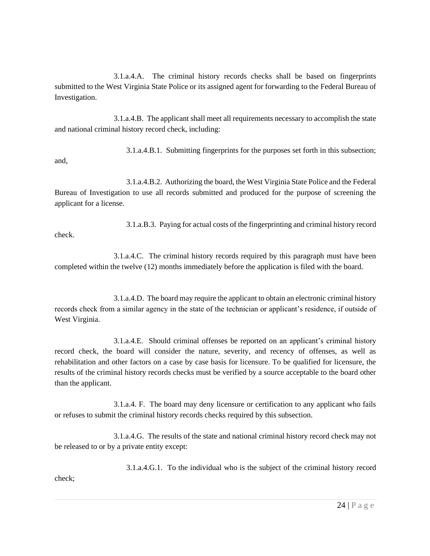3.1.a.4.A. The criminal history records checks shall be based on fingerprints submitted to the West Virginia State Police or its assigned agent for forwarding to the Federal Bureau of Investigation.

3.1.a.4.B. The applicant shall meet all requirements necessary to accomplish the state and national criminal history record check, including:

3.1.a.4.B.1. Submitting fingerprints for the purposes set forth in this subsection; and,

3.1.a.4.B.2. Authorizing the board, the West Virginia State Police and the Federal Bureau of Investigation to use all records submitted and produced for the purpose of screening the applicant for a license.

3.1.a.B.3. Paying for actual costs of the fingerprinting and criminal history record check.

3.1.a.4.C. The criminal history records required by this paragraph must have been completed within the twelve (12) months immediately before the application is filed with the board.

3.1.a.4.D. The board may require the applicant to obtain an electronic criminal history records check from a similar agency in the state of the technician or applicant's residence, if outside of West Virginia.

3.1.a.4.E. Should criminal offenses be reported on an applicant's criminal history record check, the board will consider the nature, severity, and recency of offenses, as well as rehabilitation and other factors on a case by case basis for licensure. To be qualified for licensure, the results of the criminal history records checks must be verified by a source acceptable to the board other than the applicant.

3.1.a.4. F. The board may deny licensure or certification to any applicant who fails or refuses to submit the criminal history records checks required by this subsection.

3.1.a.4.G. The results of the state and national criminal history record check may not be released to or by a private entity except:

3.1.a.4.G.1. To the individual who is the subject of the criminal history record

check;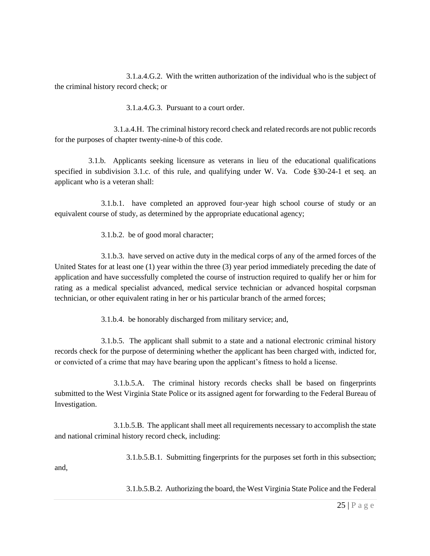3.1.a.4.G.2. With the written authorization of the individual who is the subject of the criminal history record check; or

3.1.a.4.G.3. Pursuant to a court order.

3.1.a.4.H. The criminal history record check and related records are not public records for the purposes of chapter twenty-nine-b of this code.

3.1.b. Applicants seeking licensure as veterans in lieu of the educational qualifications specified in subdivision 3.1.c. of this rule, and qualifying under W. Va. Code §30-24-1 et seq. an applicant who is a veteran shall:

3.1.b.1. have completed an approved four-year high school course of study or an equivalent course of study, as determined by the appropriate educational agency;

3.1.b.2. be of good moral character;

3.1.b.3. have served on active duty in the medical corps of any of the armed forces of the United States for at least one (1) year within the three (3) year period immediately preceding the date of application and have successfully completed the course of instruction required to qualify her or him for rating as a medical specialist advanced, medical service technician or advanced hospital corpsman technician, or other equivalent rating in her or his particular branch of the armed forces;

3.1.b.4. be honorably discharged from military service; and,

3.1.b.5. The applicant shall submit to a state and a national electronic criminal history records check for the purpose of determining whether the applicant has been charged with, indicted for, or convicted of a crime that may have bearing upon the applicant's fitness to hold a license.

3.1.b.5.A. The criminal history records checks shall be based on fingerprints submitted to the West Virginia State Police or its assigned agent for forwarding to the Federal Bureau of Investigation.

3.1.b.5.B. The applicant shall meet all requirements necessary to accomplish the state and national criminal history record check, including:

3.1.b.5.B.1. Submitting fingerprints for the purposes set forth in this subsection;

and,

3.1.b.5.B.2. Authorizing the board, the West Virginia State Police and the Federal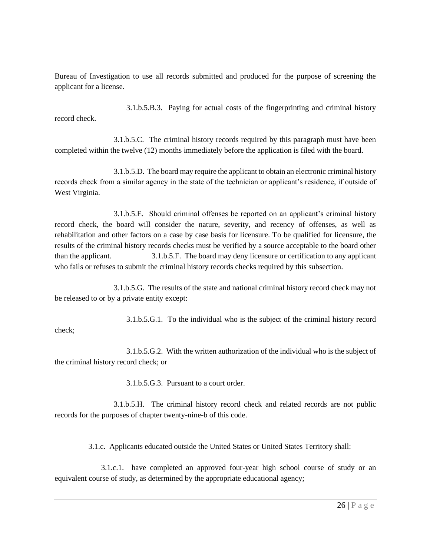Bureau of Investigation to use all records submitted and produced for the purpose of screening the applicant for a license.

3.1.b.5.B.3. Paying for actual costs of the fingerprinting and criminal history record check.

3.1.b.5.C. The criminal history records required by this paragraph must have been completed within the twelve (12) months immediately before the application is filed with the board.

3.1.b.5.D. The board may require the applicant to obtain an electronic criminal history records check from a similar agency in the state of the technician or applicant's residence, if outside of West Virginia.

3.1.b.5.E. Should criminal offenses be reported on an applicant's criminal history record check, the board will consider the nature, severity, and recency of offenses, as well as rehabilitation and other factors on a case by case basis for licensure. To be qualified for licensure, the results of the criminal history records checks must be verified by a source acceptable to the board other than the applicant. 3.1.b.5.F. The board may deny licensure or certification to any applicant who fails or refuses to submit the criminal history records checks required by this subsection.

3.1.b.5.G. The results of the state and national criminal history record check may not be released to or by a private entity except:

3.1.b.5.G.1. To the individual who is the subject of the criminal history record check;

3.1.b.5.G.2. With the written authorization of the individual who is the subject of the criminal history record check; or

3.1.b.5.G.3. Pursuant to a court order.

3.1.b.5.H. The criminal history record check and related records are not public records for the purposes of chapter twenty-nine-b of this code.

3.1.c. Applicants educated outside the United States or United States Territory shall:

3.1.c.1. have completed an approved four-year high school course of study or an equivalent course of study, as determined by the appropriate educational agency;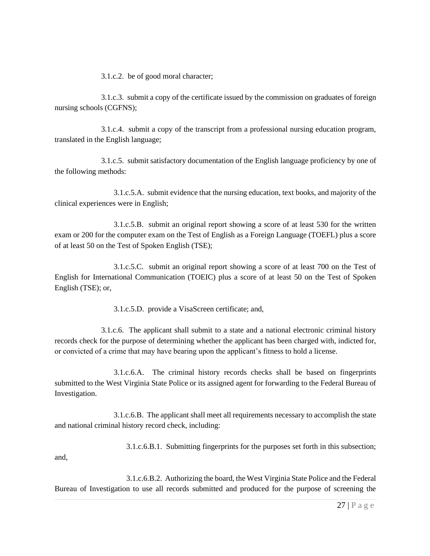3.1.c.2. be of good moral character;

3.1.c.3. submit a copy of the certificate issued by the commission on graduates of foreign nursing schools (CGFNS);

3.1.c.4. submit a copy of the transcript from a professional nursing education program, translated in the English language;

3.1.c.5. submit satisfactory documentation of the English language proficiency by one of the following methods:

3.1.c.5.A. submit evidence that the nursing education, text books, and majority of the clinical experiences were in English;

3.1.c.5.B. submit an original report showing a score of at least 530 for the written exam or 200 for the computer exam on the Test of English as a Foreign Language (TOEFL) plus a score of at least 50 on the Test of Spoken English (TSE);

3.1.c.5.C. submit an original report showing a score of at least 700 on the Test of English for International Communication (TOEIC) plus a score of at least 50 on the Test of Spoken English (TSE); or,

3.1.c.5.D. provide a VisaScreen certificate; and,

3.1.c.6. The applicant shall submit to a state and a national electronic criminal history records check for the purpose of determining whether the applicant has been charged with, indicted for, or convicted of a crime that may have bearing upon the applicant's fitness to hold a license.

3.1.c.6.A. The criminal history records checks shall be based on fingerprints submitted to the West Virginia State Police or its assigned agent for forwarding to the Federal Bureau of Investigation.

3.1.c.6.B. The applicant shall meet all requirements necessary to accomplish the state and national criminal history record check, including:

3.1.c.6.B.1. Submitting fingerprints for the purposes set forth in this subsection;

and,

3.1.c.6.B.2. Authorizing the board, the West Virginia State Police and the Federal Bureau of Investigation to use all records submitted and produced for the purpose of screening the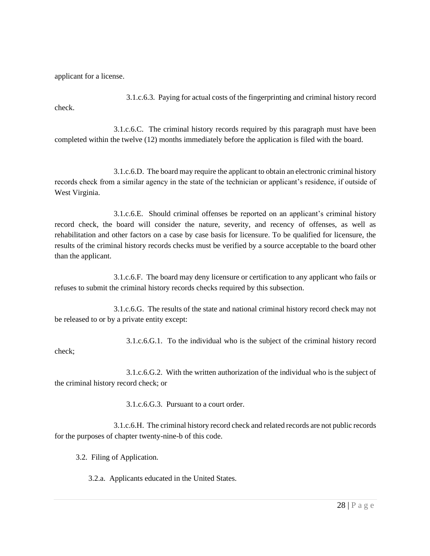applicant for a license.

3.1.c.6.3. Paying for actual costs of the fingerprinting and criminal history record check.

3.1.c.6.C. The criminal history records required by this paragraph must have been completed within the twelve (12) months immediately before the application is filed with the board.

3.1.c.6.D. The board may require the applicant to obtain an electronic criminal history records check from a similar agency in the state of the technician or applicant's residence, if outside of West Virginia.

3.1.c.6.E. Should criminal offenses be reported on an applicant's criminal history record check, the board will consider the nature, severity, and recency of offenses, as well as rehabilitation and other factors on a case by case basis for licensure. To be qualified for licensure, the results of the criminal history records checks must be verified by a source acceptable to the board other than the applicant.

3.1.c.6.F. The board may deny licensure or certification to any applicant who fails or refuses to submit the criminal history records checks required by this subsection.

3.1.c.6.G. The results of the state and national criminal history record check may not be released to or by a private entity except:

3.1.c.6.G.1. To the individual who is the subject of the criminal history record check;

3.1.c.6.G.2. With the written authorization of the individual who is the subject of the criminal history record check; or

3.1.c.6.G.3. Pursuant to a court order.

3.1.c.6.H. The criminal history record check and related records are not public records for the purposes of chapter twenty-nine-b of this code.

3.2. Filing of Application.

3.2.a. Applicants educated in the United States.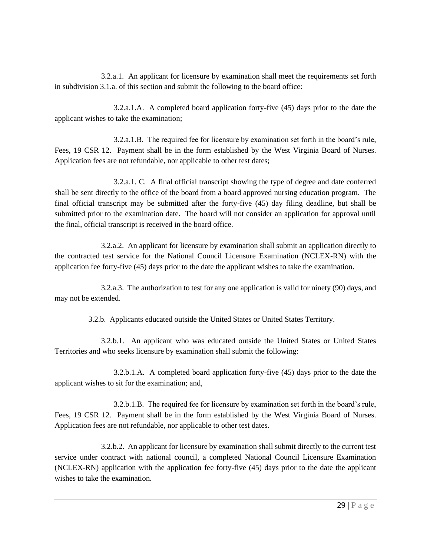3.2.a.1. An applicant for licensure by examination shall meet the requirements set forth in subdivision 3.1.a. of this section and submit the following to the board office:

3.2.a.1.A. A completed board application forty-five (45) days prior to the date the applicant wishes to take the examination;

3.2.a.1.B. The required fee for licensure by examination set forth in the board's rule, Fees, 19 CSR 12. Payment shall be in the form established by the West Virginia Board of Nurses. Application fees are not refundable, nor applicable to other test dates;

3.2.a.1. C. A final official transcript showing the type of degree and date conferred shall be sent directly to the office of the board from a board approved nursing education program. The final official transcript may be submitted after the forty-five (45) day filing deadline, but shall be submitted prior to the examination date. The board will not consider an application for approval until the final, official transcript is received in the board office.

3.2.a.2. An applicant for licensure by examination shall submit an application directly to the contracted test service for the National Council Licensure Examination (NCLEX-RN) with the application fee forty-five (45) days prior to the date the applicant wishes to take the examination.

3.2.a.3. The authorization to test for any one application is valid for ninety (90) days, and may not be extended.

3.2.b. Applicants educated outside the United States or United States Territory.

3.2.b.1. An applicant who was educated outside the United States or United States Territories and who seeks licensure by examination shall submit the following:

3.2.b.1.A. A completed board application forty-five (45) days prior to the date the applicant wishes to sit for the examination; and,

3.2.b.1.B. The required fee for licensure by examination set forth in the board's rule, Fees, 19 CSR 12. Payment shall be in the form established by the West Virginia Board of Nurses. Application fees are not refundable, nor applicable to other test dates.

3.2.b.2. An applicant for licensure by examination shall submit directly to the current test service under contract with national council, a completed National Council Licensure Examination (NCLEX-RN) application with the application fee forty-five (45) days prior to the date the applicant wishes to take the examination.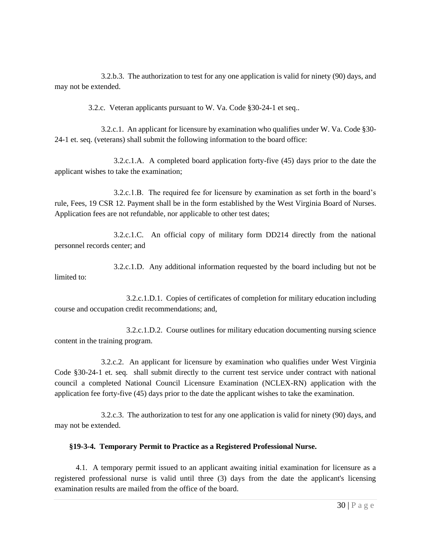3.2.b.3. The authorization to test for any one application is valid for ninety (90) days, and may not be extended.

3.2.c. Veteran applicants pursuant to W. Va. Code §30-24-1 et seq..

3.2.c.1. An applicant for licensure by examination who qualifies under W. Va. Code §30- 24-1 et. seq. (veterans) shall submit the following information to the board office:

3.2.c.1.A. A completed board application forty-five (45) days prior to the date the applicant wishes to take the examination;

3.2.c.1.B. The required fee for licensure by examination as set forth in the board's rule, Fees, 19 CSR 12. Payment shall be in the form established by the West Virginia Board of Nurses. Application fees are not refundable, nor applicable to other test dates;

3.2.c.1.C. An official copy of military form DD214 directly from the national personnel records center; and

3.2.c.1.D. Any additional information requested by the board including but not be limited to:

3.2.c.1.D.1. Copies of certificates of completion for military education including course and occupation credit recommendations; and,

3.2.c.1.D.2. Course outlines for military education documenting nursing science content in the training program.

3.2.c.2. An applicant for licensure by examination who qualifies under West Virginia Code §30-24-1 et. seq. shall submit directly to the current test service under contract with national council a completed National Council Licensure Examination (NCLEX-RN) application with the application fee forty-five (45) days prior to the date the applicant wishes to take the examination.

3.2.c.3. The authorization to test for any one application is valid for ninety (90) days, and may not be extended.

### **§19-3-4. Temporary Permit to Practice as a Registered Professional Nurse.**

4.1. A temporary permit issued to an applicant awaiting initial examination for licensure as a registered professional nurse is valid until three (3) days from the date the applicant's licensing examination results are mailed from the office of the board.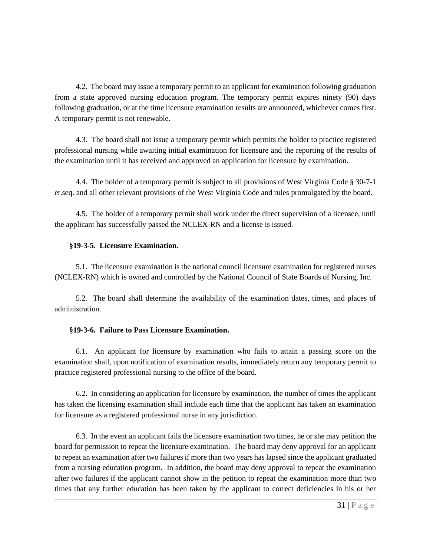4.2. The board may issue a temporary permit to an applicant for examination following graduation from a state approved nursing education program. The temporary permit expires ninety (90) days following graduation, or at the time licensure examination results are announced, whichever comes first. A temporary permit is not renewable.

4.3. The board shall not issue a temporary permit which permits the holder to practice registered professional nursing while awaiting initial examination for licensure and the reporting of the results of the examination until it has received and approved an application for licensure by examination.

4.4. The holder of a temporary permit is subject to all provisions of West Virginia Code § 30-7-1 et.seq. and all other relevant provisions of the West Virginia Code and rules promulgated by the board.

4.5. The holder of a temporary permit shall work under the direct supervision of a licensee, until the applicant has successfully passed the NCLEX-RN and a license is issued.

### **§19-3-5. Licensure Examination.**

5.1. The licensure examination is the national council licensure examination for registered nurses (NCLEX-RN) which is owned and controlled by the National Council of State Boards of Nursing, Inc.

5.2. The board shall determine the availability of the examination dates, times, and places of administration.

# **§19-3-6. Failure to Pass Licensure Examination.**

6.1. An applicant for licensure by examination who fails to attain a passing score on the examination shall, upon notification of examination results, immediately return any temporary permit to practice registered professional nursing to the office of the board.

6.2. In considering an application for licensure by examination, the number of times the applicant has taken the licensing examination shall include each time that the applicant has taken an examination for licensure as a registered professional nurse in any jurisdiction.

6.3. In the event an applicant fails the licensure examination two times, he or she may petition the board for permission to repeat the licensure examination. The board may deny approval for an applicant to repeat an examination after two failures if more than two years has lapsed since the applicant graduated from a nursing education program. In addition, the board may deny approval to repeat the examination after two failures if the applicant cannot show in the petition to repeat the examination more than two times that any further education has been taken by the applicant to correct deficiencies in his or her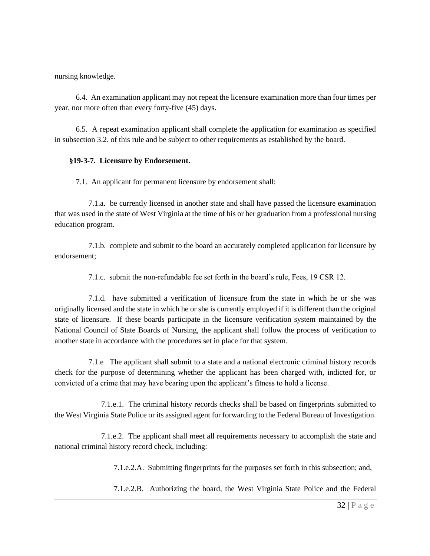nursing knowledge.

6.4. An examination applicant may not repeat the licensure examination more than four times per year, nor more often than every forty-five (45) days.

6.5. A repeat examination applicant shall complete the application for examination as specified in subsection 3.2. of this rule and be subject to other requirements as established by the board.

### **§19-3-7. Licensure by Endorsement.**

7.1. An applicant for permanent licensure by endorsement shall:

7.1.a. be currently licensed in another state and shall have passed the licensure examination that was used in the state of West Virginia at the time of his or her graduation from a professional nursing education program.

7.1.b. complete and submit to the board an accurately completed application for licensure by endorsement;

7.1.c. submit the non-refundable fee set forth in the board's rule, Fees, 19 CSR 12.

7.1.d. have submitted a verification of licensure from the state in which he or she was originally licensed and the state in which he or she is currently employed if it is different than the original state of licensure. If these boards participate in the licensure verification system maintained by the National Council of State Boards of Nursing, the applicant shall follow the process of verification to another state in accordance with the procedures set in place for that system.

7.1.e The applicant shall submit to a state and a national electronic criminal history records check for the purpose of determining whether the applicant has been charged with, indicted for, or convicted of a crime that may have bearing upon the applicant's fitness to hold a license.

7.1.e.1. The criminal history records checks shall be based on fingerprints submitted to the West Virginia State Police or its assigned agent for forwarding to the Federal Bureau of Investigation.

7.1.e.2. The applicant shall meet all requirements necessary to accomplish the state and national criminal history record check, including:

7.1.e.2.A. Submitting fingerprints for the purposes set forth in this subsection; and,

7.1.e.2.B. Authorizing the board, the West Virginia State Police and the Federal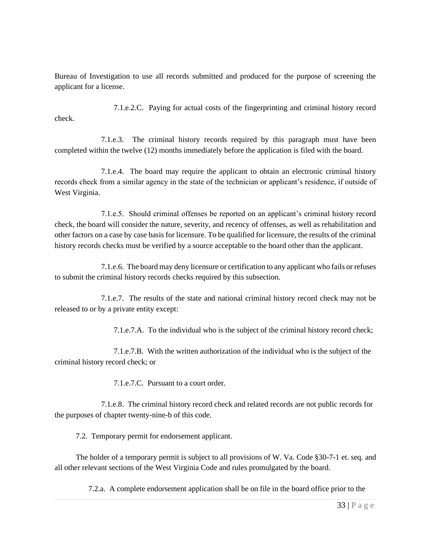Bureau of Investigation to use all records submitted and produced for the purpose of screening the applicant for a license.

7.1.e.2.C. Paying for actual costs of the fingerprinting and criminal history record check.

7.1.e.3. The criminal history records required by this paragraph must have been completed within the twelve (12) months immediately before the application is filed with the board.

7.1.e.4. The board may require the applicant to obtain an electronic criminal history records check from a similar agency in the state of the technician or applicant's residence, if outside of West Virginia.

7.1.e.5. Should criminal offenses be reported on an applicant's criminal history record check, the board will consider the nature, severity, and recency of offenses, as well as rehabilitation and other factors on a case by case basis for licensure. To be qualified for licensure, the results of the criminal history records checks must be verified by a source acceptable to the board other than the applicant.

7.1.e.6. The board may deny licensure or certification to any applicant who fails or refuses to submit the criminal history records checks required by this subsection.

7.1.e.7. The results of the state and national criminal history record check may not be released to or by a private entity except:

7.1.e.7.A. To the individual who is the subject of the criminal history record check;

7.1.e.7.B. With the written authorization of the individual who is the subject of the criminal history record check; or

7.1.e.7.C. Pursuant to a court order.

7.1.e.8. The criminal history record check and related records are not public records for the purposes of chapter twenty-nine-b of this code.

7.2. Temporary permit for endorsement applicant.

The holder of a temporary permit is subject to all provisions of W. Va. Code §30-7-1 et. seq. and all other relevant sections of the West Virginia Code and rules promulgated by the board.

7.2.a. A complete endorsement application shall be on file in the board office prior to the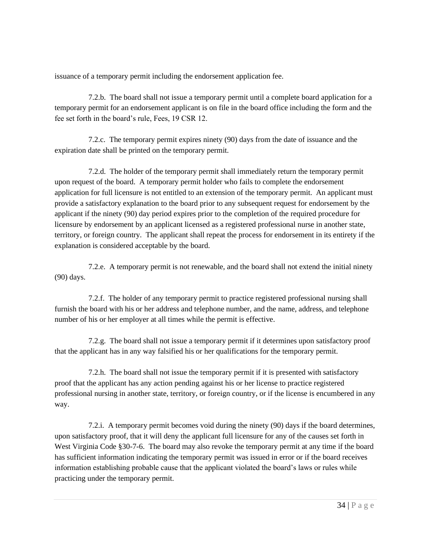issuance of a temporary permit including the endorsement application fee.

7.2.b. The board shall not issue a temporary permit until a complete board application for a temporary permit for an endorsement applicant is on file in the board office including the form and the fee set forth in the board's rule, Fees, 19 CSR 12.

7.2.c. The temporary permit expires ninety (90) days from the date of issuance and the expiration date shall be printed on the temporary permit.

7.2.d. The holder of the temporary permit shall immediately return the temporary permit upon request of the board. A temporary permit holder who fails to complete the endorsement application for full licensure is not entitled to an extension of the temporary permit. An applicant must provide a satisfactory explanation to the board prior to any subsequent request for endorsement by the applicant if the ninety (90) day period expires prior to the completion of the required procedure for licensure by endorsement by an applicant licensed as a registered professional nurse in another state, territory, or foreign country. The applicant shall repeat the process for endorsement in its entirety if the explanation is considered acceptable by the board.

7.2.e. A temporary permit is not renewable, and the board shall not extend the initial ninety (90) days.

7.2.f. The holder of any temporary permit to practice registered professional nursing shall furnish the board with his or her address and telephone number, and the name, address, and telephone number of his or her employer at all times while the permit is effective.

7.2.g. The board shall not issue a temporary permit if it determines upon satisfactory proof that the applicant has in any way falsified his or her qualifications for the temporary permit.

7.2.h. The board shall not issue the temporary permit if it is presented with satisfactory proof that the applicant has any action pending against his or her license to practice registered professional nursing in another state, territory, or foreign country, or if the license is encumbered in any way.

7.2.i. A temporary permit becomes void during the ninety (90) days if the board determines, upon satisfactory proof, that it will deny the applicant full licensure for any of the causes set forth in West Virginia Code §30-7-6. The board may also revoke the temporary permit at any time if the board has sufficient information indicating the temporary permit was issued in error or if the board receives information establishing probable cause that the applicant violated the board's laws or rules while practicing under the temporary permit.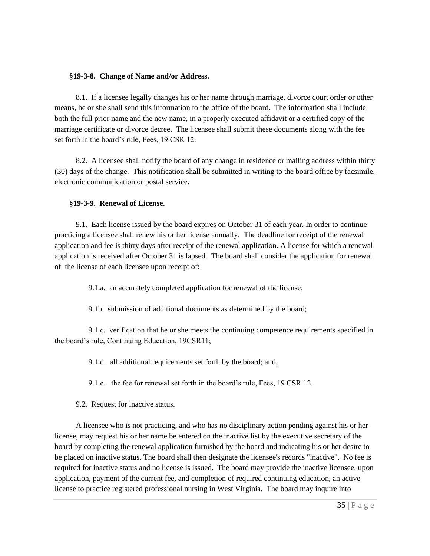#### **§19-3-8. Change of Name and/or Address.**

8.1. If a licensee legally changes his or her name through marriage, divorce court order or other means, he or she shall send this information to the office of the board. The information shall include both the full prior name and the new name, in a properly executed affidavit or a certified copy of the marriage certificate or divorce decree. The licensee shall submit these documents along with the fee set forth in the board's rule, Fees, 19 CSR 12.

8.2. A licensee shall notify the board of any change in residence or mailing address within thirty (30) days of the change. This notification shall be submitted in writing to the board office by facsimile, electronic communication or postal service.

#### **§19-3-9. Renewal of License.**

9.1. Each license issued by the board expires on October 31 of each year. In order to continue practicing a licensee shall renew his or her license annually. The deadline for receipt of the renewal application and fee is thirty days after receipt of the renewal application. A license for which a renewal application is received after October 31 is lapsed. The board shall consider the application for renewal of the license of each licensee upon receipt of:

9.1.a. an accurately completed application for renewal of the license;

9.1b. submission of additional documents as determined by the board;

9.1.c. verification that he or she meets the continuing competence requirements specified in the board's rule, Continuing Education, 19CSR11;

9.1.d. all additional requirements set forth by the board; and,

9.1.e. the fee for renewal set forth in the board's rule, Fees, 19 CSR 12.

9.2. Request for inactive status.

A licensee who is not practicing, and who has no disciplinary action pending against his or her license, may request his or her name be entered on the inactive list by the executive secretary of the board by completing the renewal application furnished by the board and indicating his or her desire to be placed on inactive status. The board shall then designate the licensee's records "inactive". No fee is required for inactive status and no license is issued. The board may provide the inactive licensee, upon application, payment of the current fee, and completion of required continuing education, an active license to practice registered professional nursing in West Virginia. The board may inquire into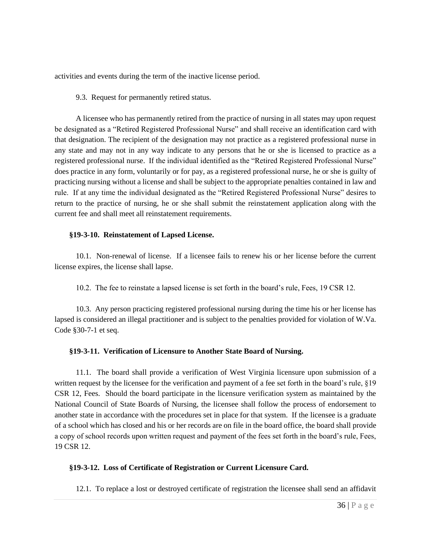activities and events during the term of the inactive license period.

9.3. Request for permanently retired status.

A licensee who has permanently retired from the practice of nursing in all states may upon request be designated as a "Retired Registered Professional Nurse" and shall receive an identification card with that designation. The recipient of the designation may not practice as a registered professional nurse in any state and may not in any way indicate to any persons that he or she is licensed to practice as a registered professional nurse. If the individual identified as the "Retired Registered Professional Nurse" does practice in any form, voluntarily or for pay, as a registered professional nurse, he or she is guilty of practicing nursing without a license and shall be subject to the appropriate penalties contained in law and rule. If at any time the individual designated as the "Retired Registered Professional Nurse" desires to return to the practice of nursing, he or she shall submit the reinstatement application along with the current fee and shall meet all reinstatement requirements.

#### **§19-3-10. Reinstatement of Lapsed License.**

10.1. Non-renewal of license. If a licensee fails to renew his or her license before the current license expires, the license shall lapse.

10.2. The fee to reinstate a lapsed license is set forth in the board's rule, Fees, 19 CSR 12.

10.3. Any person practicing registered professional nursing during the time his or her license has lapsed is considered an illegal practitioner and is subject to the penalties provided for violation of W.Va. Code §30-7-1 et seq.

### **§19-3-11. Verification of Licensure to Another State Board of Nursing.**

11.1. The board shall provide a verification of West Virginia licensure upon submission of a written request by the licensee for the verification and payment of a fee set forth in the board's rule, §19 CSR 12, Fees. Should the board participate in the licensure verification system as maintained by the National Council of State Boards of Nursing, the licensee shall follow the process of endorsement to another state in accordance with the procedures set in place for that system. If the licensee is a graduate of a school which has closed and his or her records are on file in the board office, the board shall provide a copy of school records upon written request and payment of the fees set forth in the board's rule, Fees, 19 CSR 12.

# **§19-3-12. Loss of Certificate of Registration or Current Licensure Card.**

12.1. To replace a lost or destroyed certificate of registration the licensee shall send an affidavit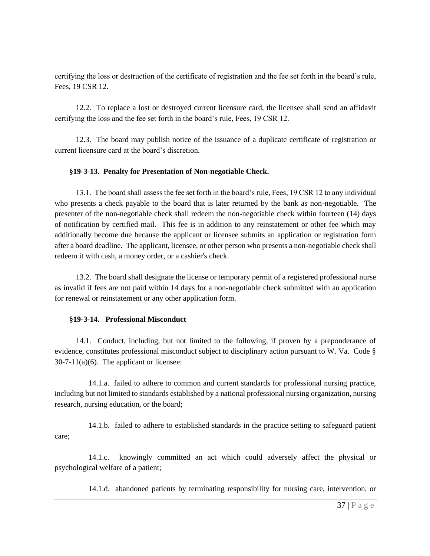certifying the loss or destruction of the certificate of registration and the fee set forth in the board's rule, Fees, 19 CSR 12.

12.2. To replace a lost or destroyed current licensure card, the licensee shall send an affidavit certifying the loss and the fee set forth in the board's rule, Fees, 19 CSR 12.

12.3. The board may publish notice of the issuance of a duplicate certificate of registration or current licensure card at the board's discretion.

## **§19-3-13. Penalty for Presentation of Non-negotiable Check.**

13.1. The board shall assess the fee set forth in the board's rule, Fees, 19 CSR 12 to any individual who presents a check payable to the board that is later returned by the bank as non-negotiable. The presenter of the non-negotiable check shall redeem the non-negotiable check within fourteen (14) days of notification by certified mail. This fee is in addition to any reinstatement or other fee which may additionally become due because the applicant or licensee submits an application or registration form after a board deadline. The applicant, licensee, or other person who presents a non-negotiable check shall redeem it with cash, a money order, or a cashier's check.

13.2. The board shall designate the license or temporary permit of a registered professional nurse as invalid if fees are not paid within 14 days for a non-negotiable check submitted with an application for renewal or reinstatement or any other application form.

### **§19-3-14. Professional Misconduct**

14.1. Conduct, including, but not limited to the following, if proven by a preponderance of evidence, constitutes professional misconduct subject to disciplinary action pursuant to W. Va. Code §  $30-7-11(a)(6)$ . The applicant or licensee:

14.1.a. failed to adhere to common and current standards for professional nursing practice, including but not limited to standards established by a national professional nursing organization, nursing research, nursing education, or the board;

14.1.b. failed to adhere to established standards in the practice setting to safeguard patient care;

14.1.c. knowingly committed an act which could adversely affect the physical or psychological welfare of a patient;

14.1.d. abandoned patients by terminating responsibility for nursing care, intervention, or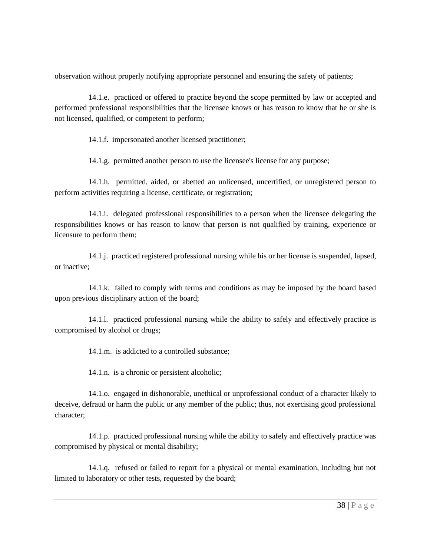observation without properly notifying appropriate personnel and ensuring the safety of patients;

14.1.e. practiced or offered to practice beyond the scope permitted by law or accepted and performed professional responsibilities that the licensee knows or has reason to know that he or she is not licensed, qualified, or competent to perform;

14.1.f. impersonated another licensed practitioner;

14.1.g. permitted another person to use the licensee's license for any purpose;

14.1.h. permitted, aided, or abetted an unlicensed, uncertified, or unregistered person to perform activities requiring a license, certificate, or registration;

14.1.i. delegated professional responsibilities to a person when the licensee delegating the responsibilities knows or has reason to know that person is not qualified by training, experience or licensure to perform them;

14.1.j. practiced registered professional nursing while his or her license is suspended, lapsed, or inactive;

14.1.k. failed to comply with terms and conditions as may be imposed by the board based upon previous disciplinary action of the board;

14.1.l. practiced professional nursing while the ability to safely and effectively practice is compromised by alcohol or drugs;

14.1.m. is addicted to a controlled substance;

14.1.n. is a chronic or persistent alcoholic;

14.1.o. engaged in dishonorable, unethical or unprofessional conduct of a character likely to deceive, defraud or harm the public or any member of the public; thus, not exercising good professional character;

14.1.p. practiced professional nursing while the ability to safely and effectively practice was compromised by physical or mental disability;

14.1.q. refused or failed to report for a physical or mental examination, including but not limited to laboratory or other tests, requested by the board;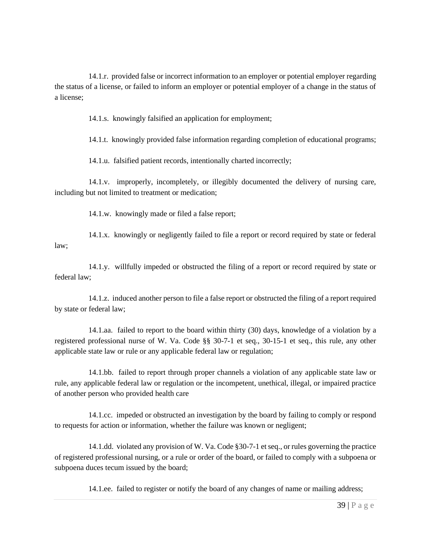14.1.r. provided false or incorrect information to an employer or potential employer regarding the status of a license, or failed to inform an employer or potential employer of a change in the status of a license;

14.1.s. knowingly falsified an application for employment;

14.1.t. knowingly provided false information regarding completion of educational programs;

14.1.u. falsified patient records, intentionally charted incorrectly;

14.1.v. improperly, incompletely, or illegibly documented the delivery of nursing care, including but not limited to treatment or medication;

14.1.w. knowingly made or filed a false report;

14.1.x. knowingly or negligently failed to file a report or record required by state or federal law;

14.1.y. willfully impeded or obstructed the filing of a report or record required by state or federal law;

14.1.z. induced another person to file a false report or obstructed the filing of a report required by state or federal law;

14.1.aa. failed to report to the board within thirty (30) days, knowledge of a violation by a registered professional nurse of W. Va. Code §§ 30-7-1 et seq., 30-15-1 et seq., this rule, any other applicable state law or rule or any applicable federal law or regulation;

14.1.bb. failed to report through proper channels a violation of any applicable state law or rule, any applicable federal law or regulation or the incompetent, unethical, illegal, or impaired practice of another person who provided health care

14.1.cc. impeded or obstructed an investigation by the board by failing to comply or respond to requests for action or information, whether the failure was known or negligent;

14.1.dd. violated any provision of W. Va. Code §30-7-1 et seq., or rules governing the practice of registered professional nursing, or a rule or order of the board, or failed to comply with a subpoena or subpoena duces tecum issued by the board;

14.1.ee. failed to register or notify the board of any changes of name or mailing address;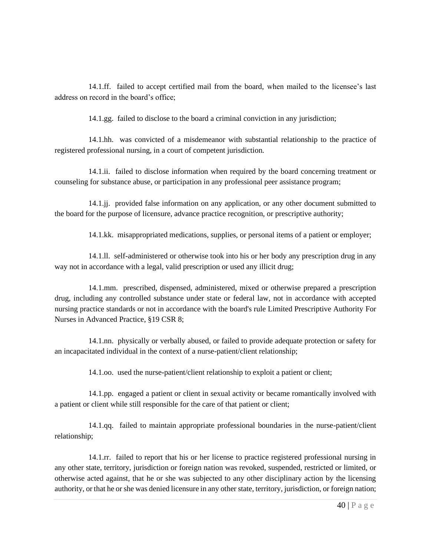14.1.ff. failed to accept certified mail from the board, when mailed to the licensee's last address on record in the board's office;

14.1.gg. failed to disclose to the board a criminal conviction in any jurisdiction;

14.1.hh. was convicted of a misdemeanor with substantial relationship to the practice of registered professional nursing, in a court of competent jurisdiction.

14.1.ii. failed to disclose information when required by the board concerning treatment or counseling for substance abuse, or participation in any professional peer assistance program;

14.1.jj. provided false information on any application, or any other document submitted to the board for the purpose of licensure, advance practice recognition, or prescriptive authority;

14.1.kk. misappropriated medications, supplies, or personal items of a patient or employer;

14.1.ll. self-administered or otherwise took into his or her body any prescription drug in any way not in accordance with a legal, valid prescription or used any illicit drug;

14.1.mm. prescribed, dispensed, administered, mixed or otherwise prepared a prescription drug, including any controlled substance under state or federal law, not in accordance with accepted nursing practice standards or not in accordance with the board's rule Limited Prescriptive Authority For Nurses in Advanced Practice, §19 CSR 8;

14.1.nn. physically or verbally abused, or failed to provide adequate protection or safety for an incapacitated individual in the context of a nurse-patient/client relationship;

14.1.oo. used the nurse-patient/client relationship to exploit a patient or client;

14.1.pp. engaged a patient or client in sexual activity or became romantically involved with a patient or client while still responsible for the care of that patient or client;

14.1.qq. failed to maintain appropriate professional boundaries in the nurse-patient/client relationship;

14.1.rr. failed to report that his or her license to practice registered professional nursing in any other state, territory, jurisdiction or foreign nation was revoked, suspended, restricted or limited, or otherwise acted against, that he or she was subjected to any other disciplinary action by the licensing authority, or that he or she was denied licensure in any other state, territory, jurisdiction, or foreign nation;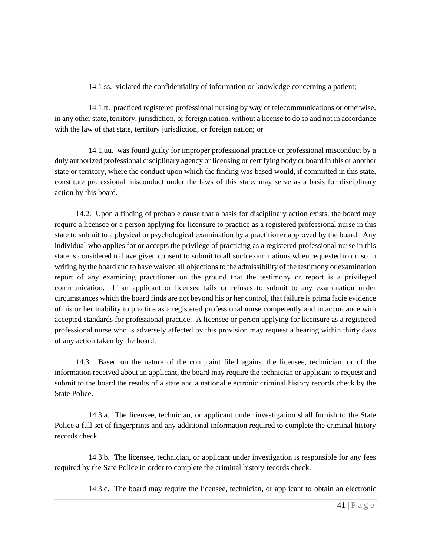# 14.1.ss. violated the confidentiality of information or knowledge concerning a patient;

14.1.tt. practiced registered professional nursing by way of telecommunications or otherwise, in any other state, territory, jurisdiction, or foreign nation, without a license to do so and not in accordance with the law of that state, territory jurisdiction, or foreign nation; or

14.1.uu. was found guilty for improper professional practice or professional misconduct by a duly authorized professional disciplinary agency or licensing or certifying body or board in this or another state or territory, where the conduct upon which the finding was based would, if committed in this state, constitute professional misconduct under the laws of this state, may serve as a basis for disciplinary action by this board.

14.2. Upon a finding of probable cause that a basis for disciplinary action exists, the board may require a licensee or a person applying for licensure to practice as a registered professional nurse in this state to submit to a physical or psychological examination by a practitioner approved by the board. Any individual who applies for or accepts the privilege of practicing as a registered professional nurse in this state is considered to have given consent to submit to all such examinations when requested to do so in writing by the board and to have waived all objections to the admissibility of the testimony or examination report of any examining practitioner on the ground that the testimony or report is a privileged communication. If an applicant or licensee fails or refuses to submit to any examination under circumstances which the board finds are not beyond his or her control, that failure is prima facie evidence of his or her inability to practice as a registered professional nurse competently and in accordance with accepted standards for professional practice. A licensee or person applying for licensure as a registered professional nurse who is adversely affected by this provision may request a hearing within thirty days of any action taken by the board.

14.3. Based on the nature of the complaint filed against the licensee, technician, or of the information received about an applicant, the board may require the technician or applicant to request and submit to the board the results of a state and a national electronic criminal history records check by the State Police.

14.3.a. The licensee, technician, or applicant under investigation shall furnish to the State Police a full set of fingerprints and any additional information required to complete the criminal history records check.

14.3.b. The licensee, technician, or applicant under investigation is responsible for any fees required by the Sate Police in order to complete the criminal history records check.

14.3.c. The board may require the licensee, technician, or applicant to obtain an electronic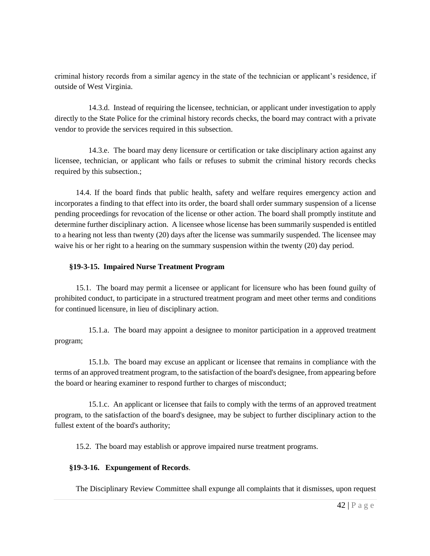criminal history records from a similar agency in the state of the technician or applicant's residence, if outside of West Virginia.

14.3.d. Instead of requiring the licensee, technician, or applicant under investigation to apply directly to the State Police for the criminal history records checks, the board may contract with a private vendor to provide the services required in this subsection.

14.3.e. The board may deny licensure or certification or take disciplinary action against any licensee, technician, or applicant who fails or refuses to submit the criminal history records checks required by this subsection.;

14.4. If the board finds that public health, safety and welfare requires emergency action and incorporates a finding to that effect into its order, the board shall order summary suspension of a license pending proceedings for revocation of the license or other action. The board shall promptly institute and determine further disciplinary action. A licensee whose license has been summarily suspended is entitled to a hearing not less than twenty (20) days after the license was summarily suspended. The licensee may waive his or her right to a hearing on the summary suspension within the twenty (20) day period.

# **§19-3-15. Impaired Nurse Treatment Program**

15.1. The board may permit a licensee or applicant for licensure who has been found guilty of prohibited conduct, to participate in a structured treatment program and meet other terms and conditions for continued licensure, in lieu of disciplinary action.

15.1.a. The board may appoint a designee to monitor participation in a approved treatment program;

15.1.b. The board may excuse an applicant or licensee that remains in compliance with the terms of an approved treatment program, to the satisfaction of the board's designee, from appearing before the board or hearing examiner to respond further to charges of misconduct;

15.1.c. An applicant or licensee that fails to comply with the terms of an approved treatment program, to the satisfaction of the board's designee, may be subject to further disciplinary action to the fullest extent of the board's authority;

15.2. The board may establish or approve impaired nurse treatment programs.

# **§19-3-16. Expungement of Records**.

The Disciplinary Review Committee shall expunge all complaints that it dismisses, upon request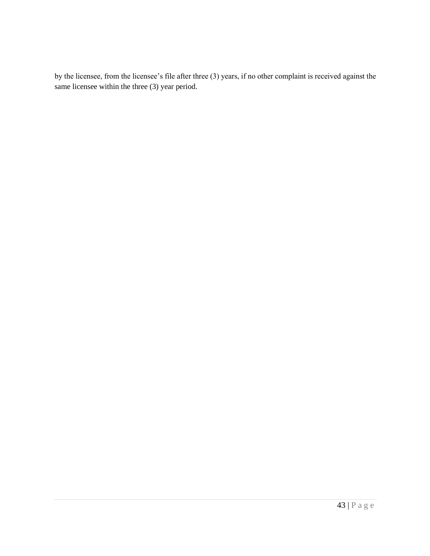by the licensee, from the licensee's file after three (3) years, if no other complaint is received against the same licensee within the three (3) year period.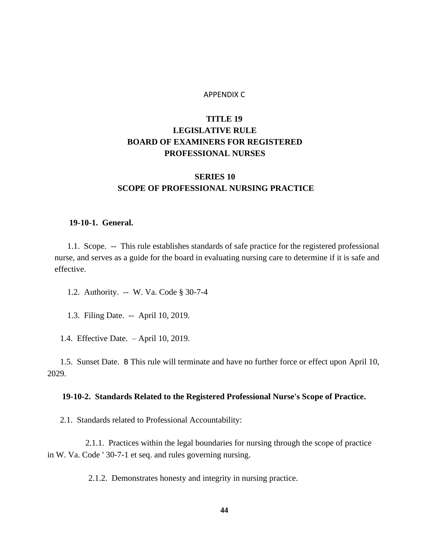#### APPENDIX C

# **TITLE 19 LEGISLATIVE RULE BOARD OF EXAMINERS FOR REGISTERED PROFESSIONAL NURSES**

# **SERIES 10 SCOPE OF PROFESSIONAL NURSING PRACTICE**

#### **19-10-1. General.**

1.1. Scope. -- This rule establishes standards of safe practice for the registered professional nurse, and serves as a guide for the board in evaluating nursing care to determine if it is safe and effective.

- 1.2. Authority. -- W. Va. Code § 30-7-4
- 1.3. Filing Date. -- April 10, 2019.
- 1.4. Effective Date. April 10, 2019.

1.5. Sunset Date. B This rule will terminate and have no further force or effect upon April 10, 2029.

### **19-10-2. Standards Related to the Registered Professional Nurse's Scope of Practice.**

2.1. Standards related to Professional Accountability:

2.1.1. Practices within the legal boundaries for nursing through the scope of practice in W. Va. Code ' 30-7-1 et seq. and rules governing nursing.

2.1.2. Demonstrates honesty and integrity in nursing practice.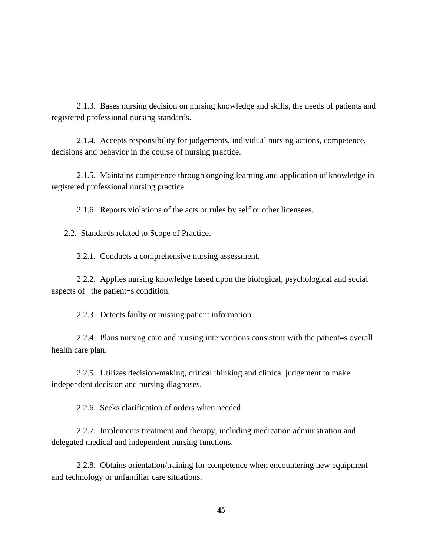2.1.3. Bases nursing decision on nursing knowledge and skills, the needs of patients and registered professional nursing standards.

2.1.4. Accepts responsibility for judgements, individual nursing actions, competence, decisions and behavior in the course of nursing practice.

2.1.5. Maintains competence through ongoing learning and application of knowledge in registered professional nursing practice.

2.1.6. Reports violations of the acts or rules by self or other licensees.

2.2. Standards related to Scope of Practice.

2.2.1. Conducts a comprehensive nursing assessment.

2.2.2. Applies nursing knowledge based upon the biological, psychological and social aspects of the patient=s condition.

2.2.3. Detects faulty or missing patient information.

2.2.4. Plans nursing care and nursing interventions consistent with the patient=s overall health care plan.

2.2.5. Utilizes decision-making, critical thinking and clinical judgement to make independent decision and nursing diagnoses.

2.2.6. Seeks clarification of orders when needed.

2.2.7. Implements treatment and therapy, including medication administration and delegated medical and independent nursing functions.

2.2.8. Obtains orientation/training for competence when encountering new equipment and technology or unfamiliar care situations.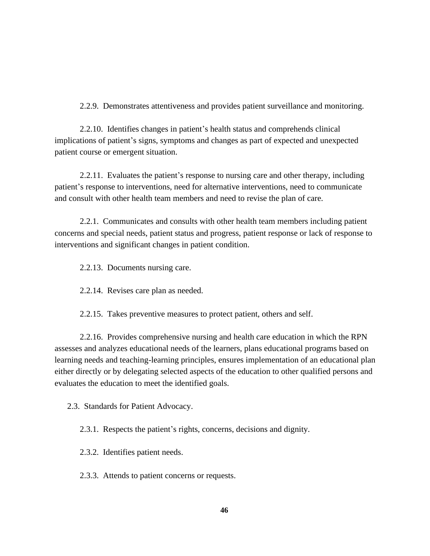2.2.9. Demonstrates attentiveness and provides patient surveillance and monitoring.

2.2.10. Identifies changes in patient's health status and comprehends clinical implications of patient's signs, symptoms and changes as part of expected and unexpected patient course or emergent situation.

2.2.11. Evaluates the patient's response to nursing care and other therapy, including patient's response to interventions, need for alternative interventions, need to communicate and consult with other health team members and need to revise the plan of care.

2.2.1. Communicates and consults with other health team members including patient concerns and special needs, patient status and progress, patient response or lack of response to interventions and significant changes in patient condition.

2.2.13. Documents nursing care.

2.2.14. Revises care plan as needed.

2.2.15. Takes preventive measures to protect patient, others and self.

2.2.16. Provides comprehensive nursing and health care education in which the RPN assesses and analyzes educational needs of the learners, plans educational programs based on learning needs and teaching-learning principles, ensures implementation of an educational plan either directly or by delegating selected aspects of the education to other qualified persons and evaluates the education to meet the identified goals.

2.3. Standards for Patient Advocacy.

2.3.1. Respects the patient's rights, concerns, decisions and dignity.

2.3.2. Identifies patient needs.

2.3.3. Attends to patient concerns or requests.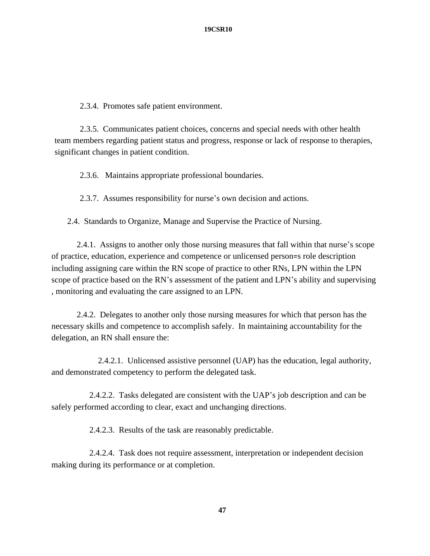2.3.4. Promotes safe patient environment.

2.3.5. Communicates patient choices, concerns and special needs with other health team members regarding patient status and progress, response or lack of response to therapies, significant changes in patient condition.

2.3.6. Maintains appropriate professional boundaries.

2.3.7. Assumes responsibility for nurse's own decision and actions.

2.4. Standards to Organize, Manage and Supervise the Practice of Nursing.

2.4.1. Assigns to another only those nursing measures that fall within that nurse's scope of practice, education, experience and competence or unlicensed person=s role description including assigning care within the RN scope of practice to other RNs, LPN within the LPN scope of practice based on the RN's assessment of the patient and LPN's ability and supervising , monitoring and evaluating the care assigned to an LPN.

2.4.2. Delegates to another only those nursing measures for which that person has the necessary skills and competence to accomplish safely. In maintaining accountability for the delegation, an RN shall ensure the:

2.4.2.1. Unlicensed assistive personnel (UAP) has the education, legal authority, and demonstrated competency to perform the delegated task.

2.4.2.2. Tasks delegated are consistent with the UAP's job description and can be safely performed according to clear, exact and unchanging directions.

2.4.2.3. Results of the task are reasonably predictable.

2.4.2.4. Task does not require assessment, interpretation or independent decision making during its performance or at completion.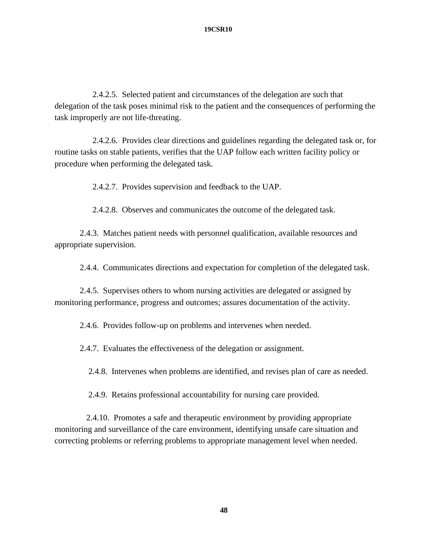#### **19CSR10**

2.4.2.5. Selected patient and circumstances of the delegation are such that delegation of the task poses minimal risk to the patient and the consequences of performing the task improperly are not life-threating.

2.4.2.6. Provides clear directions and guidelines regarding the delegated task or, for routine tasks on stable patients, verifies that the UAP follow each written facility policy or procedure when performing the delegated task.

2.4.2.7. Provides supervision and feedback to the UAP.

2.4.2.8. Observes and communicates the outcome of the delegated task.

2.4.3. Matches patient needs with personnel qualification, available resources and appropriate supervision.

2.4.4. Communicates directions and expectation for completion of the delegated task.

2.4.5. Supervises others to whom nursing activities are delegated or assigned by monitoring performance, progress and outcomes; assures documentation of the activity.

2.4.6. Provides follow-up on problems and intervenes when needed.

2.4.7. Evaluates the effectiveness of the delegation or assignment.

2.4.8. Intervenes when problems are identified, and revises plan of care as needed.

2.4.9. Retains professional accountability for nursing care provided.

 2.4.10. Promotes a safe and therapeutic environment by providing appropriate monitoring and surveillance of the care environment, identifying unsafe care situation and correcting problems or referring problems to appropriate management level when needed.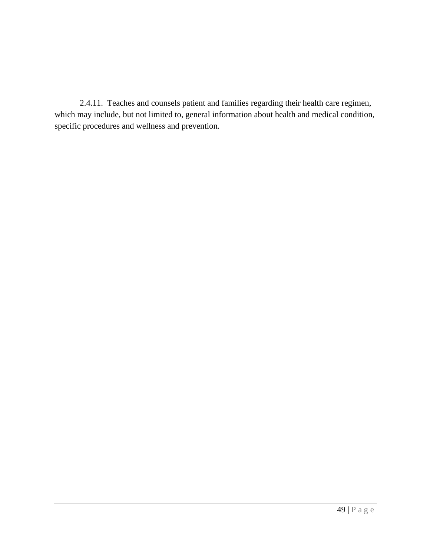2.4.11. Teaches and counsels patient and families regarding their health care regimen, which may include, but not limited to, general information about health and medical condition, specific procedures and wellness and prevention.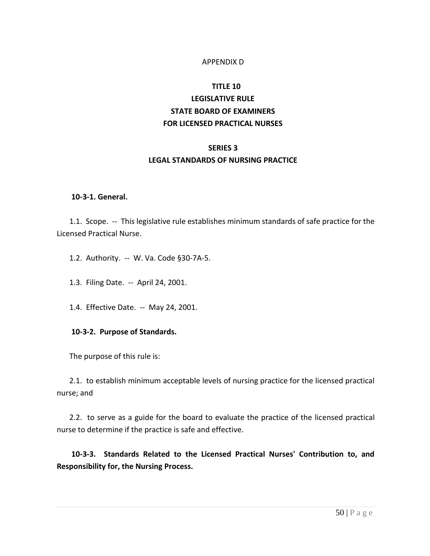## APPENDIX D

# **TITLE 10 LEGISLATIVE RULE STATE BOARD OF EXAMINERS FOR LICENSED PRACTICAL NURSES**

## **SERIES 3**

## **LEGAL STANDARDS OF NURSING PRACTICE**

### **10-3-1. General.**

1.1. Scope. -- This legislative rule establishes minimum standards of safe practice for the Licensed Practical Nurse.

- 1.2. Authority. -- W. Va. Code §30-7A-5.
- 1.3. Filing Date. -- April 24, 2001.
- 1.4. Effective Date. -- May 24, 2001.

### **10-3-2. Purpose of Standards.**

The purpose of this rule is:

2.1. to establish minimum acceptable levels of nursing practice for the licensed practical nurse; and

2.2. to serve as a guide for the board to evaluate the practice of the licensed practical nurse to determine if the practice is safe and effective.

**10-3-3. Standards Related to the Licensed Practical Nurses' Contribution to, and Responsibility for, the Nursing Process.**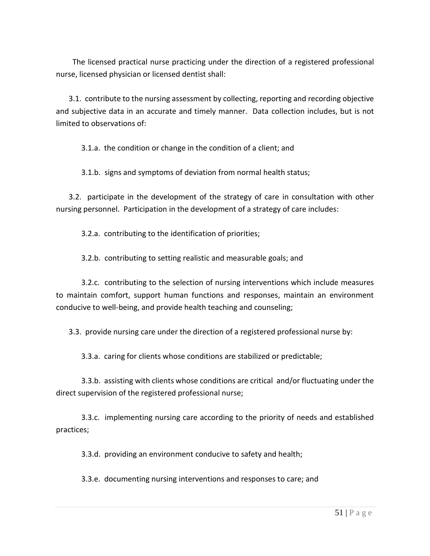The licensed practical nurse practicing under the direction of a registered professional nurse, licensed physician or licensed dentist shall:

3.1. contribute to the nursing assessment by collecting, reporting and recording objective and subjective data in an accurate and timely manner. Data collection includes, but is not limited to observations of:

3.1.a. the condition or change in the condition of a client; and

3.1.b. signs and symptoms of deviation from normal health status;

3.2. participate in the development of the strategy of care in consultation with other nursing personnel. Participation in the development of a strategy of care includes:

3.2.a. contributing to the identification of priorities;

3.2.b. contributing to setting realistic and measurable goals; and

3.2.c. contributing to the selection of nursing interventions which include measures to maintain comfort, support human functions and responses, maintain an environment conducive to well-being, and provide health teaching and counseling;

3.3. provide nursing care under the direction of a registered professional nurse by:

3.3.a. caring for clients whose conditions are stabilized or predictable;

3.3.b. assisting with clients whose conditions are critical and/or fluctuating under the direct supervision of the registered professional nurse;

3.3.c. implementing nursing care according to the priority of needs and established practices;

3.3.d. providing an environment conducive to safety and health;

3.3.e. documenting nursing interventions and responses to care; and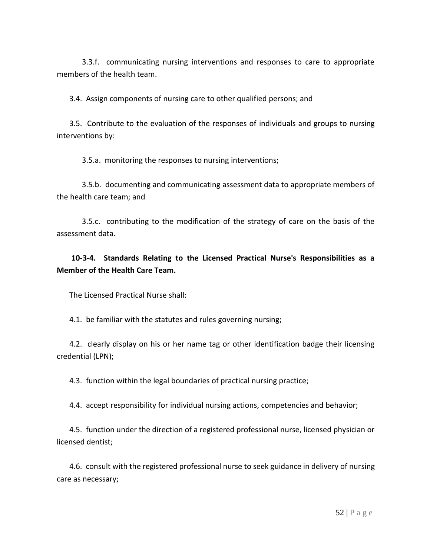3.3.f. communicating nursing interventions and responses to care to appropriate members of the health team.

3.4. Assign components of nursing care to other qualified persons; and

3.5. Contribute to the evaluation of the responses of individuals and groups to nursing interventions by:

3.5.a. monitoring the responses to nursing interventions;

3.5.b. documenting and communicating assessment data to appropriate members of the health care team; and

3.5.c. contributing to the modification of the strategy of care on the basis of the assessment data.

# **10-3-4. Standards Relating to the Licensed Practical Nurse's Responsibilities as a Member of the Health Care Team.**

The Licensed Practical Nurse shall:

4.1. be familiar with the statutes and rules governing nursing;

4.2. clearly display on his or her name tag or other identification badge their licensing credential (LPN);

4.3. function within the legal boundaries of practical nursing practice;

4.4. accept responsibility for individual nursing actions, competencies and behavior;

4.5. function under the direction of a registered professional nurse, licensed physician or licensed dentist;

4.6. consult with the registered professional nurse to seek guidance in delivery of nursing care as necessary;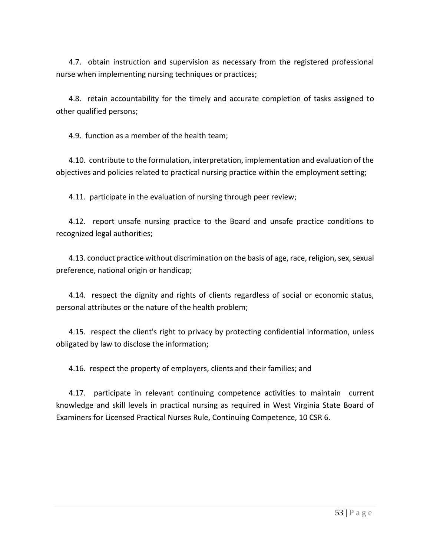4.7. obtain instruction and supervision as necessary from the registered professional nurse when implementing nursing techniques or practices;

4.8. retain accountability for the timely and accurate completion of tasks assigned to other qualified persons;

4.9. function as a member of the health team;

4.10. contribute to the formulation, interpretation, implementation and evaluation of the objectives and policies related to practical nursing practice within the employment setting;

4.11. participate in the evaluation of nursing through peer review;

4.12. report unsafe nursing practice to the Board and unsafe practice conditions to recognized legal authorities;

4.13. conduct practice without discrimination on the basis of age, race, religion, sex, sexual preference, national origin or handicap;

4.14. respect the dignity and rights of clients regardless of social or economic status, personal attributes or the nature of the health problem;

4.15. respect the client's right to privacy by protecting confidential information, unless obligated by law to disclose the information;

4.16. respect the property of employers, clients and their families; and

4.17. participate in relevant continuing competence activities to maintain current knowledge and skill levels in practical nursing as required in West Virginia State Board of Examiners for Licensed Practical Nurses Rule, Continuing Competence, 10 CSR 6.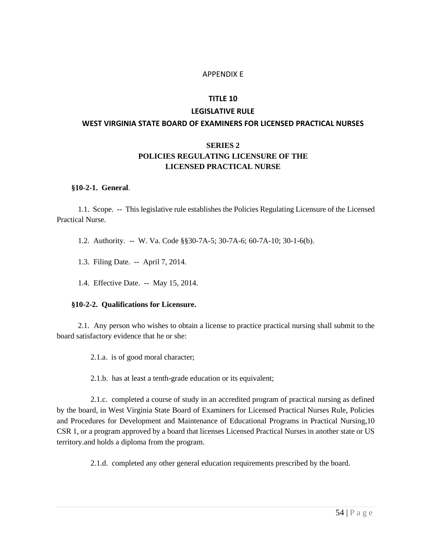### APPENDIX E

#### **TITLE 10**

# **LEGISLATIVE RULE WEST VIRGINIA STATE BOARD OF EXAMINERS FOR LICENSED PRACTICAL NURSES**

# **SERIES 2 POLICIES REGULATING LICENSURE OF THE LICENSED PRACTICAL NURSE**

#### **§10-2-1. General**.

1.1. Scope. -- This legislative rule establishes the Policies Regulating Licensure of the Licensed Practical Nurse.

- 1.2. Authority. -- W. Va. Code §§30-7A-5; 30-7A-6; 60-7A-10; 30-1-6(b).
- 1.3. Filing Date. -- April 7, 2014.
- 1.4. Effective Date. -- May 15, 2014.

#### **§10-2-2. Qualifications for Licensure.**

2.1. Any person who wishes to obtain a license to practice practical nursing shall submit to the board satisfactory evidence that he or she:

2.1.a. is of good moral character;

2.1.b. has at least a tenth-grade education or its equivalent;

2.1.c. completed a course of study in an accredited program of practical nursing as defined by the board, in West Virginia State Board of Examiners for Licensed Practical Nurses Rule, Policies and Procedures for Development and Maintenance of Educational Programs in Practical Nursing,10 CSR 1, or a program approved by a board that licenses Licensed Practical Nurses in another state or US territory.and holds a diploma from the program.

2.1.d. completed any other general education requirements prescribed by the board.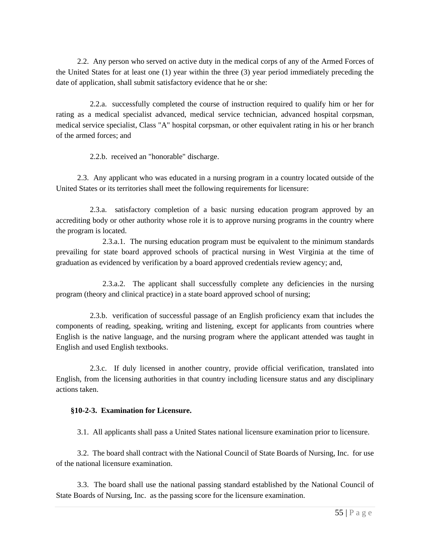2.2. Any person who served on active duty in the medical corps of any of the Armed Forces of the United States for at least one (1) year within the three (3) year period immediately preceding the date of application, shall submit satisfactory evidence that he or she:

2.2.a. successfully completed the course of instruction required to qualify him or her for rating as a medical specialist advanced, medical service technician, advanced hospital corpsman, medical service specialist, Class "A" hospital corpsman, or other equivalent rating in his or her branch of the armed forces; and

2.2.b. received an "honorable" discharge.

2.3. Any applicant who was educated in a nursing program in a country located outside of the United States or its territories shall meet the following requirements for licensure:

2.3.a. satisfactory completion of a basic nursing education program approved by an accrediting body or other authority whose role it is to approve nursing programs in the country where the program is located.

2.3.a.1. The nursing education program must be equivalent to the minimum standards prevailing for state board approved schools of practical nursing in West Virginia at the time of graduation as evidenced by verification by a board approved credentials review agency; and,

2.3.a.2. The applicant shall successfully complete any deficiencies in the nursing program (theory and clinical practice) in a state board approved school of nursing;

2.3.b. verification of successful passage of an English proficiency exam that includes the components of reading, speaking, writing and listening, except for applicants from countries where English is the native language, and the nursing program where the applicant attended was taught in English and used English textbooks.

2.3.c. If duly licensed in another country, provide official verification, translated into English, from the licensing authorities in that country including licensure status and any disciplinary actions taken.

# **§10-2-3. Examination for Licensure.**

3.1. All applicants shall pass a United States national licensure examination prior to licensure.

3.2. The board shall contract with the National Council of State Boards of Nursing, Inc. for use of the national licensure examination.

3.3. The board shall use the national passing standard established by the National Council of State Boards of Nursing, Inc. as the passing score for the licensure examination.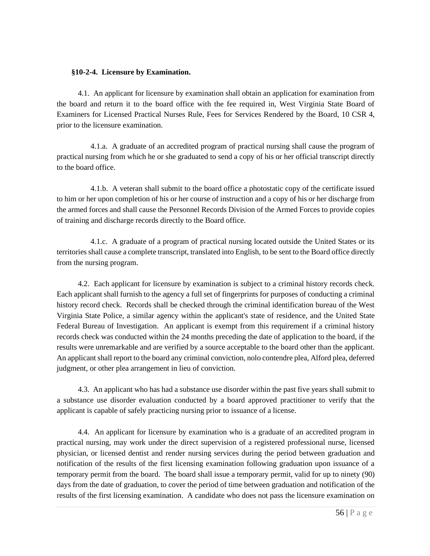### **§10-2-4. Licensure by Examination.**

4.1. An applicant for licensure by examination shall obtain an application for examination from the board and return it to the board office with the fee required in, West Virginia State Board of Examiners for Licensed Practical Nurses Rule, Fees for Services Rendered by the Board, 10 CSR 4, prior to the licensure examination.

4.1.a. A graduate of an accredited program of practical nursing shall cause the program of practical nursing from which he or she graduated to send a copy of his or her official transcript directly to the board office.

4.1.b. A veteran shall submit to the board office a photostatic copy of the certificate issued to him or her upon completion of his or her course of instruction and a copy of his or her discharge from the armed forces and shall cause the Personnel Records Division of the Armed Forces to provide copies of training and discharge records directly to the Board office.

4.1.c. A graduate of a program of practical nursing located outside the United States or its territories shall cause a complete transcript, translated into English, to be sent to the Board office directly from the nursing program.

4.2. Each applicant for licensure by examination is subject to a criminal history records check. Each applicant shall furnish to the agency a full set of fingerprints for purposes of conducting a criminal history record check. Records shall be checked through the criminal identification bureau of the West Virginia State Police, a similar agency within the applicant's state of residence, and the United State Federal Bureau of Investigation. An applicant is exempt from this requirement if a criminal history records check was conducted within the 24 months preceding the date of application to the board, if the results were unremarkable and are verified by a source acceptable to the board other than the applicant. An applicant shall report to the board any criminal conviction, nolo contendre plea, Alford plea, deferred judgment, or other plea arrangement in lieu of conviction.

4.3. An applicant who has had a substance use disorder within the past five years shall submit to a substance use disorder evaluation conducted by a board approved practitioner to verify that the applicant is capable of safely practicing nursing prior to issuance of a license.

4.4. An applicant for licensure by examination who is a graduate of an accredited program in practical nursing, may work under the direct supervision of a registered professional nurse, licensed physician, or licensed dentist and render nursing services during the period between graduation and notification of the results of the first licensing examination following graduation upon issuance of a temporary permit from the board. The board shall issue a temporary permit, valid for up to ninety (90) days from the date of graduation, to cover the period of time between graduation and notification of the results of the first licensing examination. A candidate who does not pass the licensure examination on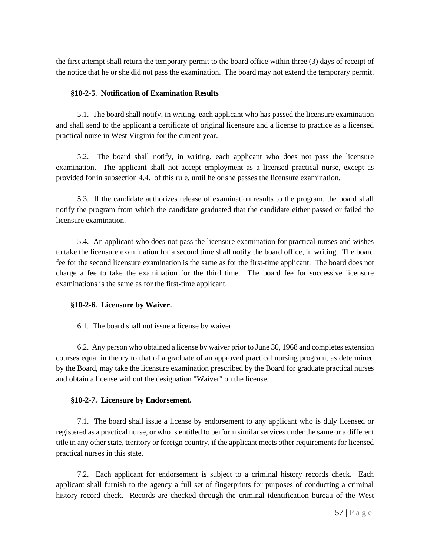the first attempt shall return the temporary permit to the board office within three (3) days of receipt of the notice that he or she did not pass the examination. The board may not extend the temporary permit.

# **§10-2-5**. **Notification of Examination Results**

5.1. The board shall notify, in writing, each applicant who has passed the licensure examination and shall send to the applicant a certificate of original licensure and a license to practice as a licensed practical nurse in West Virginia for the current year.

5.2. The board shall notify, in writing, each applicant who does not pass the licensure examination. The applicant shall not accept employment as a licensed practical nurse, except as provided for in subsection 4.4. of this rule, until he or she passes the licensure examination.

5.3. If the candidate authorizes release of examination results to the program, the board shall notify the program from which the candidate graduated that the candidate either passed or failed the licensure examination.

5.4. An applicant who does not pass the licensure examination for practical nurses and wishes to take the licensure examination for a second time shall notify the board office, in writing. The board fee for the second licensure examination is the same as for the first-time applicant. The board does not charge a fee to take the examination for the third time. The board fee for successive licensure examinations is the same as for the first-time applicant.

# **§10-2-6. Licensure by Waiver.**

6.1. The board shall not issue a license by waiver.

6.2. Any person who obtained a license by waiver prior to June 30, 1968 and completes extension courses equal in theory to that of a graduate of an approved practical nursing program, as determined by the Board, may take the licensure examination prescribed by the Board for graduate practical nurses and obtain a license without the designation "Waiver" on the license.

# **§10-2-7. Licensure by Endorsement.**

7.1. The board shall issue a license by endorsement to any applicant who is duly licensed or registered as a practical nurse, or who is entitled to perform similar services under the same or a different title in any other state, territory or foreign country, if the applicant meets other requirements for licensed practical nurses in this state.

7.2. Each applicant for endorsement is subject to a criminal history records check. Each applicant shall furnish to the agency a full set of fingerprints for purposes of conducting a criminal history record check. Records are checked through the criminal identification bureau of the West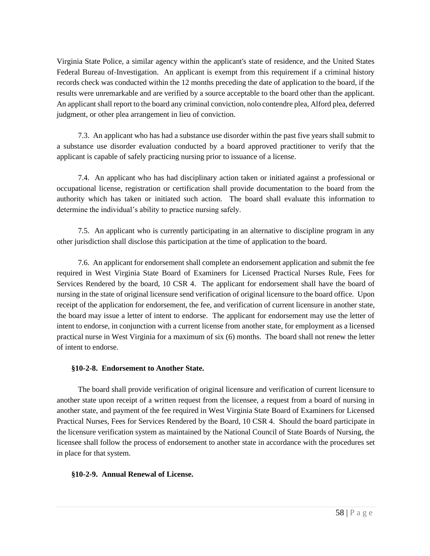Virginia State Police, a similar agency within the applicant's state of residence, and the United States Federal Bureau of-Investigation. An applicant is exempt from this requirement if a criminal history records check was conducted within the 12 months preceding the date of application to the board, if the results were unremarkable and are verified by a source acceptable to the board other than the applicant. An applicant shall report to the board any criminal conviction, nolo contendre plea, Alford plea, deferred judgment, or other plea arrangement in lieu of conviction.

7.3. An applicant who has had a substance use disorder within the past five years shall submit to a substance use disorder evaluation conducted by a board approved practitioner to verify that the applicant is capable of safely practicing nursing prior to issuance of a license.

7.4. An applicant who has had disciplinary action taken or initiated against a professional or occupational license, registration or certification shall provide documentation to the board from the authority which has taken or initiated such action. The board shall evaluate this information to determine the individual's ability to practice nursing safely.

7.5. An applicant who is currently participating in an alternative to discipline program in any other jurisdiction shall disclose this participation at the time of application to the board.

7.6. An applicant for endorsement shall complete an endorsement application and submit the fee required in West Virginia State Board of Examiners for Licensed Practical Nurses Rule, Fees for Services Rendered by the board, 10 CSR 4. The applicant for endorsement shall have the board of nursing in the state of original licensure send verification of original licensure to the board office. Upon receipt of the application for endorsement, the fee, and verification of current licensure in another state, the board may issue a letter of intent to endorse. The applicant for endorsement may use the letter of intent to endorse, in conjunction with a current license from another state, for employment as a licensed practical nurse in West Virginia for a maximum of six (6) months. The board shall not renew the letter of intent to endorse.

# **§10-2-8. Endorsement to Another State.**

The board shall provide verification of original licensure and verification of current licensure to another state upon receipt of a written request from the licensee, a request from a board of nursing in another state, and payment of the fee required in West Virginia State Board of Examiners for Licensed Practical Nurses, Fees for Services Rendered by the Board, 10 CSR 4. Should the board participate in the licensure verification system as maintained by the National Council of State Boards of Nursing, the licensee shall follow the process of endorsement to another state in accordance with the procedures set in place for that system.

# **§10-2-9. Annual Renewal of License.**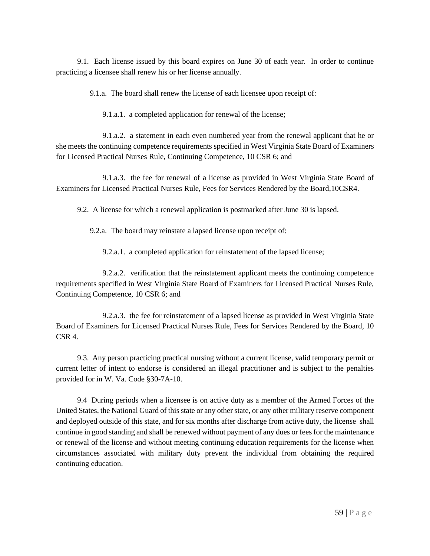9.1. Each license issued by this board expires on June 30 of each year. In order to continue practicing a licensee shall renew his or her license annually.

9.1.a. The board shall renew the license of each licensee upon receipt of:

9.1.a.1. a completed application for renewal of the license;

9.1.a.2. a statement in each even numbered year from the renewal applicant that he or she meets the continuing competence requirements specified in West Virginia State Board of Examiners for Licensed Practical Nurses Rule, Continuing Competence, 10 CSR 6; and

9.1.a.3. the fee for renewal of a license as provided in West Virginia State Board of Examiners for Licensed Practical Nurses Rule, Fees for Services Rendered by the Board,10CSR4.

9.2. A license for which a renewal application is postmarked after June 30 is lapsed.

9.2.a. The board may reinstate a lapsed license upon receipt of:

9.2.a.1. a completed application for reinstatement of the lapsed license;

9.2.a.2. verification that the reinstatement applicant meets the continuing competence requirements specified in West Virginia State Board of Examiners for Licensed Practical Nurses Rule, Continuing Competence, 10 CSR 6; and

9.2.a.3. the fee for reinstatement of a lapsed license as provided in West Virginia State Board of Examiners for Licensed Practical Nurses Rule, Fees for Services Rendered by the Board, 10  $CSR<sub>4</sub>$ 

9.3. Any person practicing practical nursing without a current license, valid temporary permit or current letter of intent to endorse is considered an illegal practitioner and is subject to the penalties provided for in W. Va. Code §30-7A-10.

9.4 During periods when a licensee is on active duty as a member of the Armed Forces of the United States, the National Guard of this state or any other state, or any other military reserve component and deployed outside of this state, and for six months after discharge from active duty, the license shall continue in good standing and shall be renewed without payment of any dues or fees for the maintenance or renewal of the license and without meeting continuing education requirements for the license when circumstances associated with military duty prevent the individual from obtaining the required continuing education.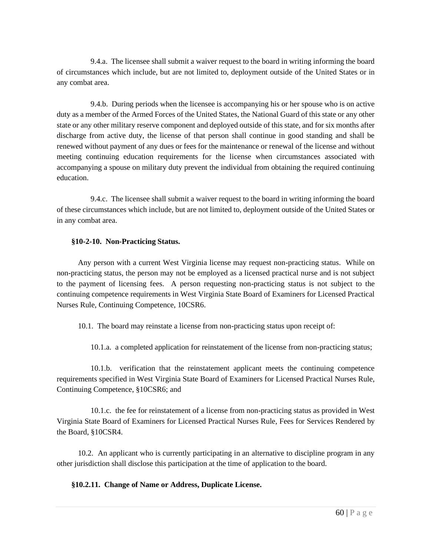9.4.a. The licensee shall submit a waiver request to the board in writing informing the board of circumstances which include, but are not limited to, deployment outside of the United States or in any combat area.

9.4.b. During periods when the licensee is accompanying his or her spouse who is on active duty as a member of the Armed Forces of the United States, the National Guard of this state or any other state or any other military reserve component and deployed outside of this state, and for six months after discharge from active duty, the license of that person shall continue in good standing and shall be renewed without payment of any dues or fees for the maintenance or renewal of the license and without meeting continuing education requirements for the license when circumstances associated with accompanying a spouse on military duty prevent the individual from obtaining the required continuing education.

9.4.c. The licensee shall submit a waiver request to the board in writing informing the board of these circumstances which include, but are not limited to, deployment outside of the United States or in any combat area.

# **§10-2-10. Non-Practicing Status.**

Any person with a current West Virginia license may request non-practicing status. While on non-practicing status, the person may not be employed as a licensed practical nurse and is not subject to the payment of licensing fees. A person requesting non-practicing status is not subject to the continuing competence requirements in West Virginia State Board of Examiners for Licensed Practical Nurses Rule, Continuing Competence, 10CSR6.

10.1. The board may reinstate a license from non-practicing status upon receipt of:

10.1.a. a completed application for reinstatement of the license from non-practicing status;

10.1.b. verification that the reinstatement applicant meets the continuing competence requirements specified in West Virginia State Board of Examiners for Licensed Practical Nurses Rule, Continuing Competence, §10CSR6; and

10.1.c. the fee for reinstatement of a license from non-practicing status as provided in West Virginia State Board of Examiners for Licensed Practical Nurses Rule, Fees for Services Rendered by the Board, §10CSR4.

10.2. An applicant who is currently participating in an alternative to discipline program in any other jurisdiction shall disclose this participation at the time of application to the board.

**§10.2.11. Change of Name or Address, Duplicate License.**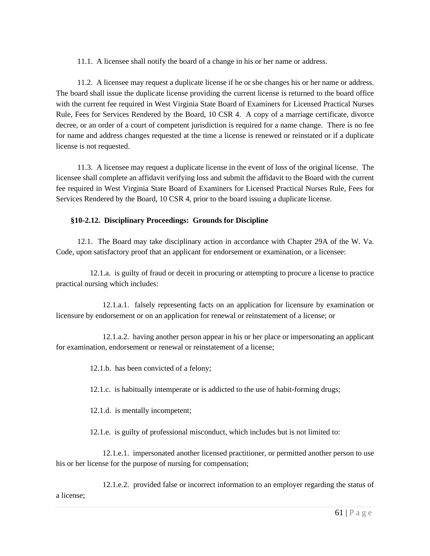11.1. A licensee shall notify the board of a change in his or her name or address.

11.2. A licensee may request a duplicate license if he or she changes his or her name or address. The board shall issue the duplicate license providing the current license is returned to the board office with the current fee required in West Virginia State Board of Examiners for Licensed Practical Nurses Rule, Fees for Services Rendered by the Board, 10 CSR 4. A copy of a marriage certificate, divorce decree, or an order of a court of competent jurisdiction is required for a name change. There is no fee for name and address changes requested at the time a license is renewed or reinstated or if a duplicate license is not requested.

11.3. A licensee may request a duplicate license in the event of loss of the original license. The licensee shall complete an affidavit verifying loss and submit the affidavit to the Board with the current fee required in West Virginia State Board of Examiners for Licensed Practical Nurses Rule, Fees for Services Rendered by the Board, 10 CSR 4, prior to the board issuing a duplicate license.

# **§10-2.12. Disciplinary Proceedings: Grounds for Discipline**

12.1. The Board may take disciplinary action in accordance with Chapter 29A of the W. Va. Code, upon satisfactory proof that an applicant for endorsement or examination, or a licensee:

12.1.a. is guilty of fraud or deceit in procuring or attempting to procure a license to practice practical nursing which includes:

12.1.a.1. falsely representing facts on an application for licensure by examination or licensure by endorsement or on an application for renewal or reinstatement of a license; or

12.1.a.2. having another person appear in his or her place or impersonating an applicant for examination, endorsement or renewal or reinstatement of a license;

12.1.b. has been convicted of a felony;

12.1.c. is habitually intemperate or is addicted to the use of habit-forming drugs;

12.1.d. is mentally incompetent;

12.1.e. is guilty of professional misconduct, which includes but is not limited to:

12.1.e.1. impersonated another licensed practitioner, or permitted another person to use his or her license for the purpose of nursing for compensation;

12.1.e.2. provided false or incorrect information to an employer regarding the status of a license;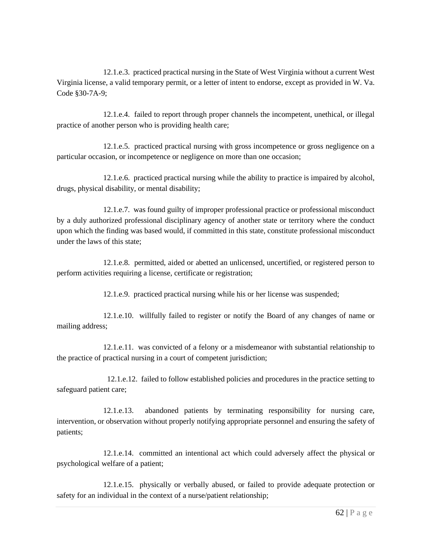12.1.e.3. practiced practical nursing in the State of West Virginia without a current West Virginia license, a valid temporary permit, or a letter of intent to endorse, except as provided in W. Va. Code §30-7A-9;

12.1.e.4. failed to report through proper channels the incompetent, unethical, or illegal practice of another person who is providing health care;

12.1.e.5. practiced practical nursing with gross incompetence or gross negligence on a particular occasion, or incompetence or negligence on more than one occasion;

12.1.e.6. practiced practical nursing while the ability to practice is impaired by alcohol, drugs, physical disability, or mental disability;

12.1.e.7. was found guilty of improper professional practice or professional misconduct by a duly authorized professional disciplinary agency of another state or territory where the conduct upon which the finding was based would, if committed in this state, constitute professional misconduct under the laws of this state;

12.1.e.8. permitted, aided or abetted an unlicensed, uncertified, or registered person to perform activities requiring a license, certificate or registration;

12.1.e.9. practiced practical nursing while his or her license was suspended;

12.1.e.10. willfully failed to register or notify the Board of any changes of name or mailing address;

12.1.e.11. was convicted of a felony or a misdemeanor with substantial relationship to the practice of practical nursing in a court of competent jurisdiction;

 12.1.e.12. failed to follow established policies and procedures in the practice setting to safeguard patient care;

12.1.e.13. abandoned patients by terminating responsibility for nursing care, intervention, or observation without properly notifying appropriate personnel and ensuring the safety of patients;

12.1.e.14. committed an intentional act which could adversely affect the physical or psychological welfare of a patient;

12.1.e.15. physically or verbally abused, or failed to provide adequate protection or safety for an individual in the context of a nurse/patient relationship;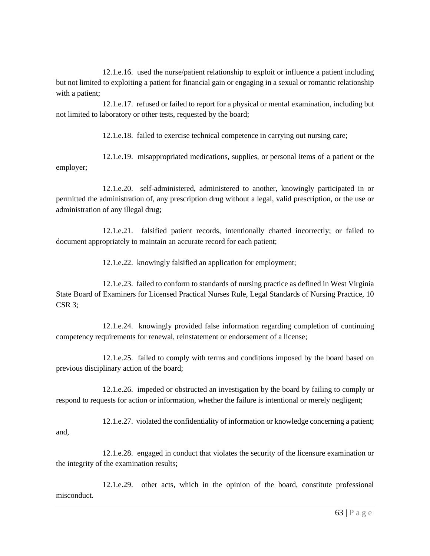12.1.e.16. used the nurse/patient relationship to exploit or influence a patient including but not limited to exploiting a patient for financial gain or engaging in a sexual or romantic relationship with a patient;

12.1.e.17. refused or failed to report for a physical or mental examination, including but not limited to laboratory or other tests, requested by the board;

12.1.e.18. failed to exercise technical competence in carrying out nursing care;

12.1.e.19. misappropriated medications, supplies, or personal items of a patient or the employer;

12.1.e.20. self-administered, administered to another, knowingly participated in or permitted the administration of, any prescription drug without a legal, valid prescription, or the use or administration of any illegal drug;

12.1.e.21. falsified patient records, intentionally charted incorrectly; or failed to document appropriately to maintain an accurate record for each patient;

12.1.e.22. knowingly falsified an application for employment;

12.1.e.23. failed to conform to standards of nursing practice as defined in West Virginia State Board of Examiners for Licensed Practical Nurses Rule, Legal Standards of Nursing Practice, 10 CSR 3;

12.1.e.24. knowingly provided false information regarding completion of continuing competency requirements for renewal, reinstatement or endorsement of a license;

12.1.e.25. failed to comply with terms and conditions imposed by the board based on previous disciplinary action of the board;

12.1.e.26. impeded or obstructed an investigation by the board by failing to comply or respond to requests for action or information, whether the failure is intentional or merely negligent;

12.1.e.27. violated the confidentiality of information or knowledge concerning a patient; and,

12.1.e.28. engaged in conduct that violates the security of the licensure examination or the integrity of the examination results;

12.1.e.29. other acts, which in the opinion of the board, constitute professional misconduct.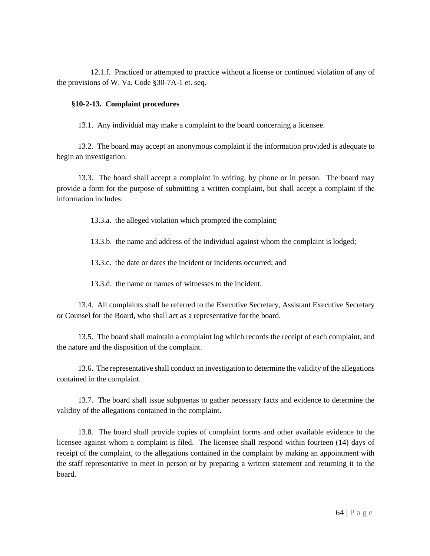12.1.f. Practiced or attempted to practice without a license or continued violation of any of the provisions of W. Va. Code §30-7A-1 et. seq.

# **§10-2-13. Complaint procedures**

13.1. Any individual may make a complaint to the board concerning a licensee.

13.2. The board may accept an anonymous complaint if the information provided is adequate to begin an investigation.

13.3. The board shall accept a complaint in writing, by phone or in person. The board may provide a form for the purpose of submitting a written complaint, but shall accept a complaint if the information includes:

13.3.a. the alleged violation which prompted the complaint;

13.3.b. the name and address of the individual against whom the complaint is lodged;

13.3.c. the date or dates the incident or incidents occurred; and

13.3.d. the name or names of witnesses to the incident.

13.4. All complaints shall be referred to the Executive Secretary, Assistant Executive Secretary or Counsel for the Board, who shall act as a representative for the board.

13.5. The board shall maintain a complaint log which records the receipt of each complaint, and the nature and the disposition of the complaint.

13.6. The representative shall conduct an investigation to determine the validity of the allegations contained in the complaint.

13.7. The board shall issue subpoenas to gather necessary facts and evidence to determine the validity of the allegations contained in the complaint.

13.8. The board shall provide copies of complaint forms and other available evidence to the licensee against whom a complaint is filed. The licensee shall respond within fourteen (14) days of receipt of the complaint, to the allegations contained in the complaint by making an appointment with the staff representative to meet in person or by preparing a written statement and returning it to the board.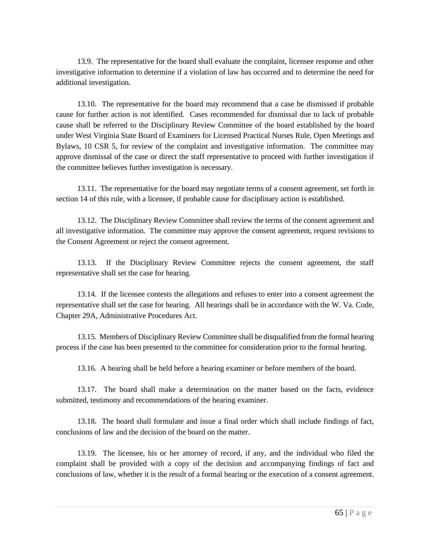13.9. The representative for the board shall evaluate the complaint, licensee response and other investigative information to determine if a violation of law has occurred and to determine the need for additional investigation.

13.10. The representative for the board may recommend that a case be dismissed if probable cause for further action is not identified. Cases recommended for dismissal due to lack of probable cause shall be referred to the Disciplinary Review Committee of the board established by the board under West Virginia State Board of Examiners for Licensed Practical Nurses Rule, Open Meetings and Bylaws, 10 CSR 5, for review of the complaint and investigative information. The committee may approve dismissal of the case or direct the staff representative to proceed with further investigation if the committee believes further investigation is necessary.

13.11. The representative for the board may negotiate terms of a consent agreement, set forth in section 14 of this rule, with a licensee, if probable cause for disciplinary action is established.

13.12. The Disciplinary Review Committee shall review the terms of the consent agreement and all investigative information. The committee may approve the consent agreement, request revisions to the Consent Agreement or reject the consent agreement.

13.13. If the Disciplinary Review Committee rejects the consent agreement, the staff representative shall set the case for hearing.

13.14. If the licensee contests the allegations and refuses to enter into a consent agreement the representative shall set the case for hearing. All hearings shall be in accordance with the W. Va. Code, Chapter 29A, Administrative Procedures Act.

13.15. Members of Disciplinary Review Committee shall be disqualified from the formal hearing process if the case has been presented to the committee for consideration prior to the formal hearing.

13.16. A hearing shall be held before a hearing examiner or before members of the board.

13.17. The board shall make a determination on the matter based on the facts, evidence submitted, testimony and recommendations of the hearing examiner.

13.18. The board shall formulate and issue a final order which shall include findings of fact, conclusions of law and the decision of the board on the matter.

13.19. The licensee, his or her attorney of record, if any, and the individual who filed the complaint shall be provided with a copy of the decision and accompanying findings of fact and conclusions of law, whether it is the result of a formal hearing or the execution of a consent agreement.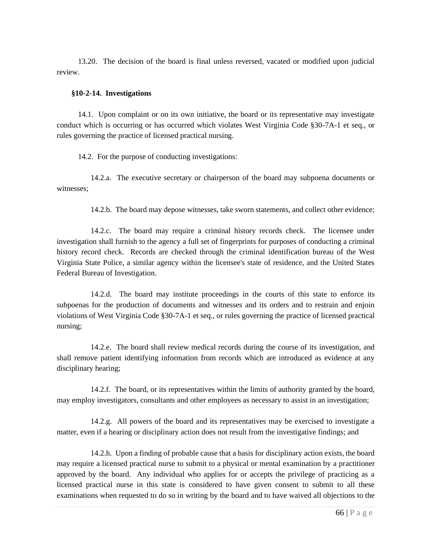13.20. The decision of the board is final unless reversed, vacated or modified upon judicial review.

#### **§10-2-14. Investigations**

14.1. Upon complaint or on its own initiative, the board or its representative may investigate conduct which is occurring or has occurred which violates West Virginia Code §30-7A-1 et seq., or rules governing the practice of licensed practical nursing.

14.2. For the purpose of conducting investigations:

14.2.a. The executive secretary or chairperson of the board may subpoena documents or witnesses;

14.2.b. The board may depose witnesses, take sworn statements, and collect other evidence;

14.2.c. The board may require a criminal history records check. The licensee under investigation shall furnish to the agency a full set of fingerprints for purposes of conducting a criminal history record check. Records are checked through the criminal identification bureau of the West Virginia State Police, a similar agency within the licensee's state of residence, and the United States Federal Bureau of Investigation.

14.2.d. The board may institute proceedings in the courts of this state to enforce its subpoenas for the production of documents and witnesses and its orders and to restrain and enjoin violations of West Virginia Code §30-7A-1 et seq., or rules governing the practice of licensed practical nursing;

14.2.e. The board shall review medical records during the course of its investigation, and shall remove patient identifying information from records which are introduced as evidence at any disciplinary hearing;

14.2.f. The board, or its representatives within the limits of authority granted by the board, may employ investigators, consultants and other employees as necessary to assist in an investigation;

14.2.g. All powers of the board and its representatives may be exercised to investigate a matter, even if a hearing or disciplinary action does not result from the investigative findings; and

14.2.h. Upon a finding of probable cause that a basis for disciplinary action exists, the board may require a licensed practical nurse to submit to a physical or mental examination by a practitioner approved by the board. Any individual who applies for or accepts the privilege of practicing as a licensed practical nurse in this state is considered to have given consent to submit to all these examinations when requested to do so in writing by the board and to have waived all objections to the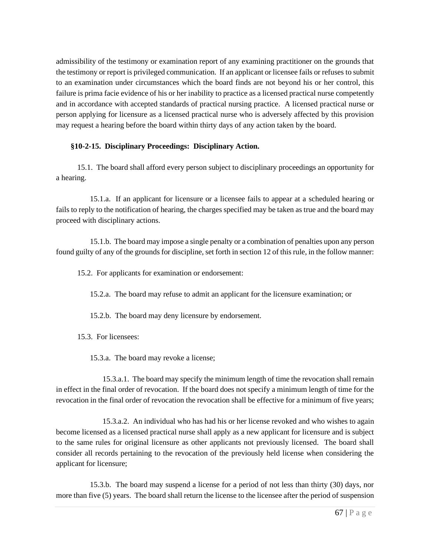admissibility of the testimony or examination report of any examining practitioner on the grounds that the testimony or report is privileged communication. If an applicant or licensee fails or refuses to submit to an examination under circumstances which the board finds are not beyond his or her control, this failure is prima facie evidence of his or her inability to practice as a licensed practical nurse competently and in accordance with accepted standards of practical nursing practice. A licensed practical nurse or person applying for licensure as a licensed practical nurse who is adversely affected by this provision may request a hearing before the board within thirty days of any action taken by the board.

# **§10-2-15. Disciplinary Proceedings: Disciplinary Action.**

15.1. The board shall afford every person subject to disciplinary proceedings an opportunity for a hearing.

15.1.a. If an applicant for licensure or a licensee fails to appear at a scheduled hearing or fails to reply to the notification of hearing, the charges specified may be taken as true and the board may proceed with disciplinary actions.

15.1.b. The board may impose a single penalty or a combination of penalties upon any person found guilty of any of the grounds for discipline, set forth in section 12 of this rule, in the follow manner:

15.2. For applicants for examination or endorsement:

15.2.a. The board may refuse to admit an applicant for the licensure examination; or

15.2.b. The board may deny licensure by endorsement.

15.3. For licensees:

15.3.a. The board may revoke a license;

15.3.a.1. The board may specify the minimum length of time the revocation shall remain in effect in the final order of revocation. If the board does not specify a minimum length of time for the revocation in the final order of revocation the revocation shall be effective for a minimum of five years;

15.3.a.2. An individual who has had his or her license revoked and who wishes to again become licensed as a licensed practical nurse shall apply as a new applicant for licensure and is subject to the same rules for original licensure as other applicants not previously licensed. The board shall consider all records pertaining to the revocation of the previously held license when considering the applicant for licensure;

15.3.b. The board may suspend a license for a period of not less than thirty (30) days, nor more than five (5) years. The board shall return the license to the licensee after the period of suspension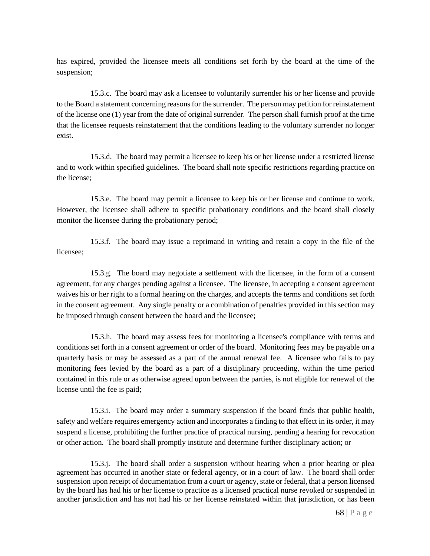has expired, provided the licensee meets all conditions set forth by the board at the time of the suspension;

15.3.c. The board may ask a licensee to voluntarily surrender his or her license and provide to the Board a statement concerning reasons for the surrender. The person may petition for reinstatement of the license one (1) year from the date of original surrender. The person shall furnish proof at the time that the licensee requests reinstatement that the conditions leading to the voluntary surrender no longer exist.

15.3.d. The board may permit a licensee to keep his or her license under a restricted license and to work within specified guidelines. The board shall note specific restrictions regarding practice on the license;

15.3.e. The board may permit a licensee to keep his or her license and continue to work. However, the licensee shall adhere to specific probationary conditions and the board shall closely monitor the licensee during the probationary period;

15.3.f. The board may issue a reprimand in writing and retain a copy in the file of the licensee;

15.3.g. The board may negotiate a settlement with the licensee, in the form of a consent agreement, for any charges pending against a licensee. The licensee, in accepting a consent agreement waives his or her right to a formal hearing on the charges, and accepts the terms and conditions set forth in the consent agreement. Any single penalty or a combination of penalties provided in this section may be imposed through consent between the board and the licensee;

15.3.h. The board may assess fees for monitoring a licensee's compliance with terms and conditions set forth in a consent agreement or order of the board. Monitoring fees may be payable on a quarterly basis or may be assessed as a part of the annual renewal fee. A licensee who fails to pay monitoring fees levied by the board as a part of a disciplinary proceeding, within the time period contained in this rule or as otherwise agreed upon between the parties, is not eligible for renewal of the license until the fee is paid;

15.3.i. The board may order a summary suspension if the board finds that public health, safety and welfare requires emergency action and incorporates a finding to that effect in its order, it may suspend a license, prohibiting the further practice of practical nursing, pending a hearing for revocation or other action. The board shall promptly institute and determine further disciplinary action; or

15.3.j. The board shall order a suspension without hearing when a prior hearing or plea agreement has occurred in another state or federal agency, or in a court of law. The board shall order suspension upon receipt of documentation from a court or agency, state or federal, that a person licensed by the board has had his or her license to practice as a licensed practical nurse revoked or suspended in another jurisdiction and has not had his or her license reinstated within that jurisdiction, or has been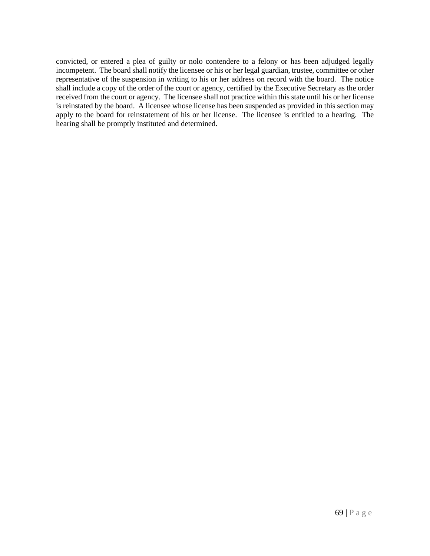convicted, or entered a plea of guilty or nolo contendere to a felony or has been adjudged legally incompetent. The board shall notify the licensee or his or her legal guardian, trustee, committee or other representative of the suspension in writing to his or her address on record with the board. The notice shall include a copy of the order of the court or agency, certified by the Executive Secretary as the order received from the court or agency. The licensee shall not practice within this state until his or her license is reinstated by the board. A licensee whose license has been suspended as provided in this section may apply to the board for reinstatement of his or her license. The licensee is entitled to a hearing. The hearing shall be promptly instituted and determined.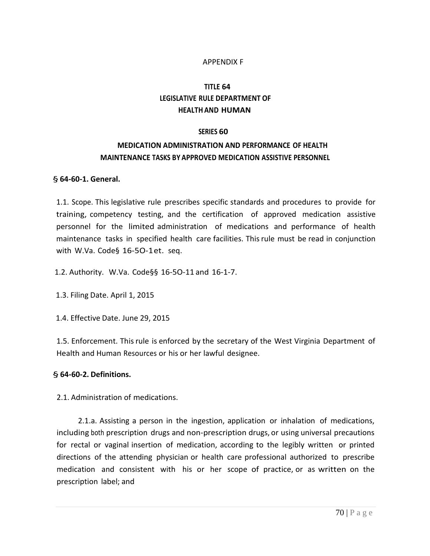# APPENDIX F

# **TITLE 64 LEGISLATIVE RULE DEPARTMENT OF HEALTH AND HUMAN**

### **SERIES 60**

# **MEDICATION ADMINISTRATION AND PERFORMANCE OF HEALTH MAINTENANCE TASKS BY APPROVED MEDICATION ASSISTIVE PERSONNEL**

## § **64-60-1. General.**

1.1. Scope. This legislative rule prescribes specific standards and procedures to provide for training, competency testing, and the certification of approved medication assistive personnel for the limited administration of medications and performance of health maintenance tasks in specified health care facilities. Thisrule must be read in conjunction with W.Va. Code§ 16-5O-1et. seq.

1.2. Authority. W.Va. Code§§ 16-5O-11 and 16-1-7.

1.3. Filing Date. April 1, 2015

1.4. Effective Date. June 29, 2015

1.5. Enforcement. This rule is enforced by the secretary of the West Virginia Department of Health and Human Resources or his or her lawful designee.

# § **64-60-2. Definitions.**

2.1. Administration of medications.

2.1.a. Assisting a person in the ingestion, application or inhalation of medications, including both prescription drugs and non-prescription drugs, or using universal precautions for rectal or vaginal insertion of medication, according to the legibly written or printed directions of the attending physician or health care professional authorized to prescribe medication and consistent with his or her scope of practice, or as written on the prescription label; and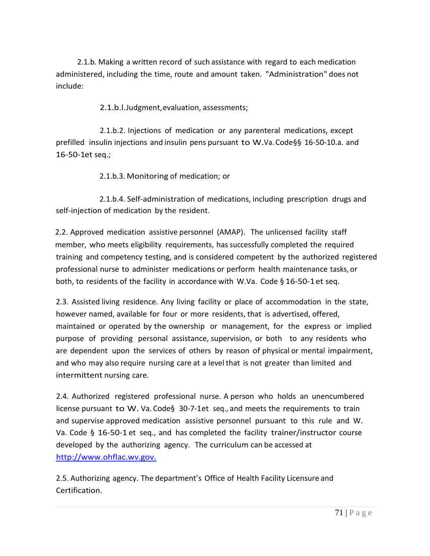2.1.b. Making a written record of such assistance with regard to each medication administered, including the time, route and amount taken. "Administration" does not include:

2.1.b.l.Judgment,evaluation, assessments;

2.1.b.2. Injections of medication or any parenteral medications, except prefilled insulin injections and insulin pens pursuant to W.Va. Code§§ 16-50-10.a. and 16-50-1et seq.;

2.1.b.3. Monitoring of medication; or

2.1.b.4. Self-administration of medications, including prescription drugs and self-injection of medication by the resident.

2.2. Approved medication assistive personnel (AMAP). The unlicensed facility staff member, who meets eligibility requirements, hassuccessfully completed the required training and competency testing, and is considered competent by the authorized registered professional nurse to administer medications or perform health maintenance tasks, or both, to residents of the facility in accordance with W.Va. Code § 16-50-1et seq.

2.3. Assisted living residence. Any living facility or place of accommodation in the state, however named, available for four or more residents, that is advertised, offered, maintained or operated by the ownership or management, for the express or implied purpose of providing personal assistance, supervision, or both to any residents who are dependent upon the services of others by reason of physical or mental impairment, and who may also require nursing care at a level that is not greater than limited and intermittent nursing care.

2.4. Authorized registered professional nurse. A person who holds an unencumbered license pursuant to W. Va. Code§ 30-7-1et seq., and meets the requirements to train and supervise approved medication assistive personnel pursuant to this rule and W. Va. Code § 16-50-1 et seq., and has completed the facility trainer/instructor course developed by the authorizing agency. The curriculum can be accessed at [http://www.ohflac.wv.gov.](http://www.ohflac.wv.gov./)

2.5. Authorizing agency. The department's Office of Health Facility Licensure and Certification.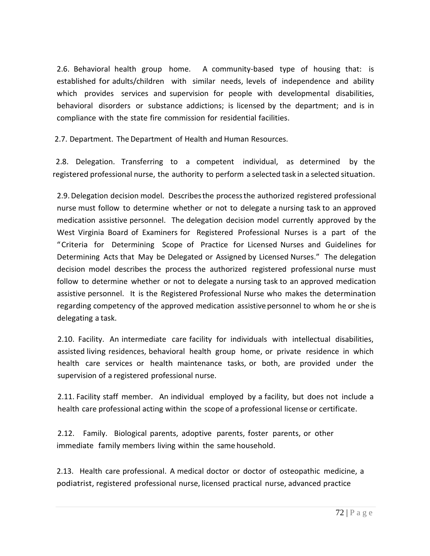2.6. Behavioral health group home. A community-based type of housing that: is established for adults/children with similar needs, levels of independence and ability which provides services and supervision for people with developmental disabilities, behavioral disorders or substance addictions; is licensed by the department; and is in compliance with the state fire commission for residential facilities.

2.7. Department. The Department of Health and Human Resources.

2.8. Delegation. Transferring to a competent individual, as determined by the registered professional nurse, the authority to perform a selected task in a selected situation.

2.9.Delegation decision model. Describesthe processthe authorized registered professional nurse must follow to determine whether or not to delegate a nursing task to an approved medication assistive personnel. The delegation decision model currently approved by the West Virginia Board of Examiners for Registered Professional Nurses is a part of the "Criteria for Determining Scope of Practice for Licensed Nurses and Guidelines for Determining Acts that May be Delegated or Assigned by Licensed Nurses." The delegation decision model describes the process the authorized registered professional nurse must follow to determine whether or not to delegate a nursing task to an approved medication assistive personnel. It is the Registered Professional Nurse who makes the determination regarding competency of the approved medication assistive personnel to whom he or she is delegating a task.

2.10. Facility. An intermediate care facility for individuals with intellectual disabilities, assisted living residences, behavioral health group home, or private residence in which health care services or health maintenance tasks, or both, are provided under the supervision of a registered professional nurse.

2.11. Facility staff member. An individual employed by a facility, but does not include a health care professional acting within the scope of a professional license or certificate.

2.12. Family. Biological parents, adoptive parents, foster parents, or other immediate family members living within the same household.

2.13. Health care professional. A medical doctor or doctor of osteopathic medicine, a podiatrist, registered professional nurse, licensed practical nurse, advanced practice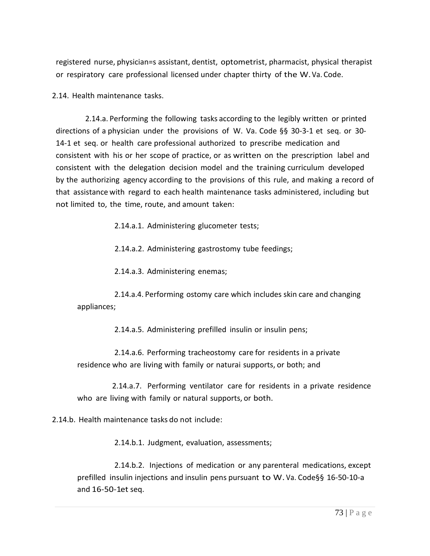registered nurse, physician=s assistant, dentist, optometrist, pharmacist, physical therapist or respiratory care professional licensed under chapter thirty of the W.Va. Code.

2.14. Health maintenance tasks.

2.14.a. Performing the following tasks according to the legibly written or printed directions of a physician under the provisions of W. Va. Code §§ 30-3-1 et seq. or 30- 14-1 et seq. or health care professional authorized to prescribe medication and consistent with his or her scope of practice, or as written on the prescription label and consistent with the delegation decision model and the training curriculum developed by the authorizing agency according to the provisions of this rule, and making a record of that assistance with regard to each health maintenance tasks administered, including but not limited to, the time, route, and amount taken:

2.14.a.1. Administering glucometer tests;

2.14.a.2. Administering gastrostomy tube feedings;

2.14.a.3. Administering enemas;

2.14.a.4. Performing ostomy care which includes skin care and changing appliances;

2.14.a.5. Administering prefilled insulin or insulin pens;

2.14.a.6. Performing tracheostomy care for residents in a private residence who are living with family or naturai supports, or both; and

 2.14.a.7. Performing ventilator care for residents in a private residence who are living with family or natural supports, or both.

2.14.b. Health maintenance tasks do not include:

2.14.b.1. Judgment, evaluation, assessments;

2.14.b.2. Injections of medication or any parenteral medications, except prefilled insulin injections and insulin pens pursuant to W. Va. Code§§ 16-50-10-a and 16-50-1et seq.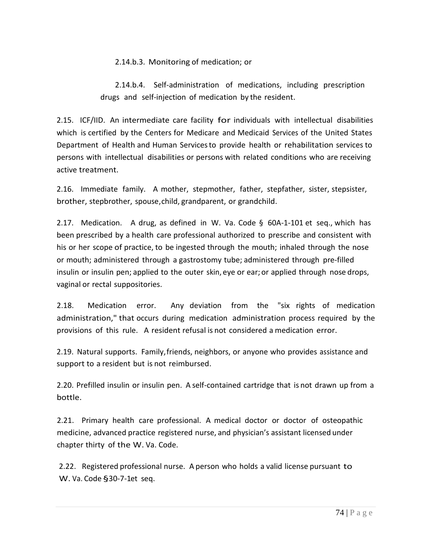2.14.b.3. Monitoring of medication; or

2.14.b.4. Self-administration of medications, including prescription drugs and self-injection of medication by the resident.

2.15. ICF/IID. An intermediate care facility for individuals with intellectual disabilities which is certified by the Centers for Medicare and Medicaid Services of the United States Department of Health and Human Servicesto provide health or rehabilitation services to persons with intellectual disabilities or persons with related conditions who are receiving active treatment.

2.16. Immediate family. A mother, stepmother, father, stepfather, sister, stepsister, brother, stepbrother, spouse,child, grandparent, or grandchild.

2.17. Medication. A drug, as defined in W. Va. Code  $\S$  60A-1-101 et seq., which has been prescribed by a health care professional authorized to prescribe and consistent with his or her scope of practice, to be ingested through the mouth; inhaled through the nose or mouth; administered through a gastrostomy tube; administered through pre-filled insulin or insulin pen; applied to the outer skin, eye or ear; or applied through nose drops, vaginal or rectal suppositories.

2.18. Medication error. Any deviation from the "six rights of medication administration," that occurs during medication administration process required by the provisions of this rule. A resident refusal is not considered a medication error.

2.19. Natural supports. Family,friends, neighbors, or anyone who provides assistance and support to a resident but is not reimbursed.

2.20. Prefilled insulin or insulin pen. A self-contained cartridge that is not drawn up from a bottle.

2.21. Primary health care professional. A medical doctor or doctor of osteopathic medicine, advanced practice registered nurse, and physician's assistant licensed under chapter thirty of the W. Va. Code.

2.22. Registered professional nurse. A person who holds a valid license pursuant to W. Va. Code §30-7-1et seq.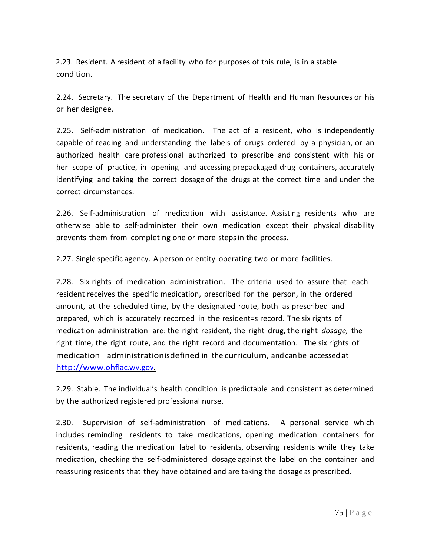2.23. Resident. A resident of a facility who for purposes of this rule, is in a stable condition.

2.24. Secretary. The secretary of the Department of Health and Human Resources or his or her designee.

2.25. Self-administration of medication. The act of a resident, who is independently capable of reading and understanding the labels of drugs ordered by a physician, or an authorized health care professional authorized to prescribe and consistent with his or her scope of practice, in opening and accessing prepackaged drug containers, accurately identifying and taking the correct dosage of the drugs at the correct time and under the correct circumstances.

2.26. Self-administration of medication with assistance. Assisting residents who are otherwise able to self-administer their own medication except their physical disability prevents them from completing one or more stepsin the process.

2.27. Single specific agency. A person or entity operating two or more facilities.

2.28. Six rights of medication administration. The criteria used to assure that each resident receives the specific medication, prescribed for the person, in the ordered amount, at the scheduled time, by the designated route, both as prescribed and prepared, which is accurately recorded in the resident=s record. The six rights of medication administration are: the right resident, the right drug,the right *dosage,* the right time, the right route, and the right record and documentation. The six rights of medication administrationisdefined in the curriculum, andcanbe accessedat [http://www.ohflac.wv.gov.](http://www.ohflac.wv.gov/)

2.29. Stable. The individual's health condition is predictable and consistent as determined by the authorized registered professional nurse.

2.30. Supervision of self-administration of medications. A personal service which includes reminding residents to take medications, opening medication containers for residents, reading the medication label to residents, observing residents while they take medication, checking the self-administered dosage against the label on the container and reassuring residents that they have obtained and are taking the dosage as prescribed.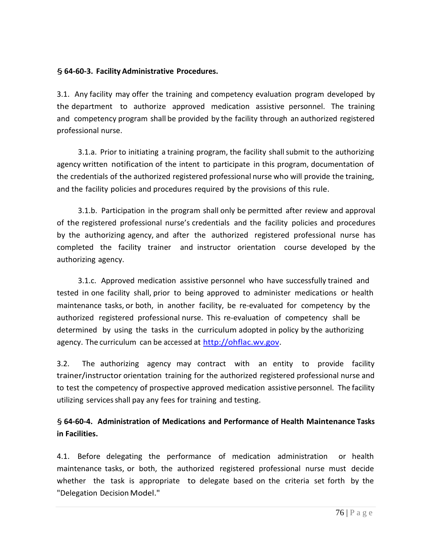#### § **64-60-3. Facility Administrative Procedures.**

3.1. Any facility may offer the training and competency evaluation program developed by the department to authorize approved medication assistive personnel. The training and competency program shall be provided by the facility through an authorized registered professional nurse.

3.1.a. Prior to initiating a training program, the facility shallsubmit to the authorizing agency written notification of the intent to participate in this program, documentation of the credentials of the authorized registered professional nurse who will provide the training, and the facility policies and procedures required by the provisions of this rule.

3.1.b. Participation in the program shall only be permitted after review and approval of the registered professional nurse's credentials and the facility policies and procedures by the authorizing agency, and after the authorized registered professional nurse has completed the facility trainer and instructor orientation course developed by the authorizing agency.

3.1.c. Approved medication assistive personnel who have successfully trained and tested in one facility shall, prior to being approved to administer medications or health maintenance tasks, or both, in another facility, be re-evaluated for competency by the authorized registered professional nurse. This re-evaluation of competency shall be determined by using the tasks in the curriculum adopted in policy by the authorizing agency. The curriculum can be accessed at [http://ohflac.wv.gov.](http://ohflac.wv.gov/)

3.2. The authorizing agency may contract with an entity to provide facility trainer/instructor orientation training for the authorized registered professional nurse and to test the competency of prospective approved medication assistive personnel. The facility utilizing servicesshall pay any fees for training and testing.

## § **64-60-4. Administration of Medications and Performance of Health Maintenance Tasks in Facilities.**

4.1. Before delegating the performance of medication administration or health maintenance tasks, or both, the authorized registered professional nurse must decide whether the task is appropriate to delegate based on the criteria set forth by the "Delegation Decision Model."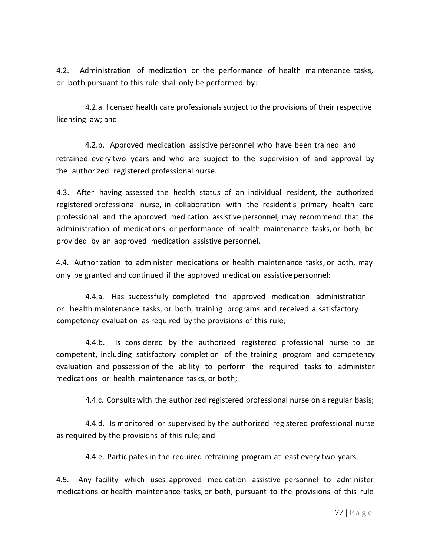4.2. Administration of medication or the performance of health maintenance tasks, or both pursuant to this rule shall only be performed by:

 4.2.a. licensed health care professionals subject to the provisions of their respective licensing law; and

4.2.b. Approved medication assistive personnel who have been trained and retrained every two years and who are subject to the supervision of and approval by the authorized registered professional nurse.

4.3. After having assessed the health status of an individual resident, the authorized registered professional nurse, in collaboration with the resident's primary health care professional and the approved medication assistive personnel, may recommend that the administration of medications or performance of health maintenance tasks, or both, be provided by an approved medication assistive personnel.

4.4. Authorization to administer medications or health maintenance tasks, or both, may only be granted and continued if the approved medication assistive personnel:

4.4.a. Has successfully completed the approved medication administration or health maintenance tasks, or both, training programs and received a satisfactory competency evaluation as required by the provisions of this rule;

4.4.b. Is considered by the authorized registered professional nurse to be competent, including satisfactory completion of the training program and competency evaluation and possession of the ability to perform the required tasks to administer medications or health maintenance tasks, or both;

4.4.c. Consults with the authorized registered professional nurse on a regular basis;

4.4.d. Is monitored or supervised by the authorized registered professional nurse as required by the provisions of this rule; and

4.4.e. Participates in the required retraining program at least every two years.

4.5. Any facility which uses approved medication assistive personnel to administer medications or health maintenance tasks, or both, pursuant to the provisions of this rule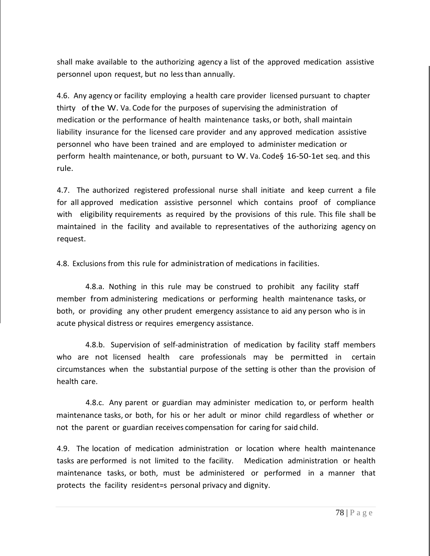shall make available to the authorizing agency a list of the approved medication assistive personnel upon request, but no lessthan annually.

4.6. Any agency or facility employing a health care provider licensed pursuant to chapter thirty of the W. Va. Code for the purposes of supervising the administration of medication or the performance of health maintenance tasks, or both, shall maintain liability insurance for the licensed care provider and any approved medication assistive personnel who have been trained and are employed to administer medication or perform health maintenance, or both, pursuant to W. Va. Code§ 16-50-1et seq. and this rule.

4.7. The authorized registered professional nurse shall initiate and keep current a file for all approved medication assistive personnel which contains proof of compliance with eligibility requirements as required by the provisions of this rule. This file shall be maintained in the facility and available to representatives of the authorizing agency on request.

4.8. Exclusions from this rule for administration of medications in facilities.

4.8.a. Nothing in this rule may be construed to prohibit any facility staff member from administering medications or performing health maintenance tasks, or both, or providing any other prudent emergency assistance to aid any person who is in acute physical distress or requires emergency assistance.

4.8.b. Supervision of self-administration of medication by facility staff members who are not licensed health care professionals may be permitted in certain circumstances when the substantial purpose of the setting is other than the provision of health care.

4.8.c. Any parent or guardian may administer medication to, or perform health maintenance tasks, or both, for his or her adult or minor child regardless of whether or not the parent or guardian receives compensation for caring for said child.

4.9. The location of medication administration or location where health maintenance tasks are performed is not limited to the facility. Medication administration or health maintenance tasks, or both, must be administered or performed in a manner that protects the facility resident=s personal privacy and dignity.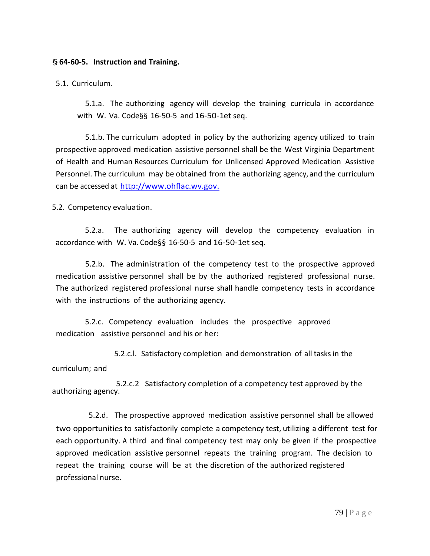#### §**64-60-5. Instruction and Training.**

5.1. Curriculum.

5.1.a. The authorizing agency will develop the training curricula in accordance with W. Va. Code§§ 16-50-5 and 16-50-1et seq.

5.1.b. The curriculum adopted in policy by the authorizing agency utilized to train prospective approved medication assistive personnel shall be the West Virginia Department of Health and Human Resources Curriculum for Unlicensed Approved Medication Assistive Personnel. The curriculum may be obtained from the authorizing agency, and the curriculum can be accessed at [http://www.ohflac.wv.gov.](http://www.ohflac.wv.gov./)

5.2. Competency evaluation.

5.2.a. The authorizing agency will develop the competency evaluation in accordance with W. Va. Code§§ 16-50-5 and 16-50-1et seq.

5.2.b. The administration of the competency test to the prospective approved medication assistive personnel shall be by the authorized registered professional nurse. The authorized registered professional nurse shall handle competency tests in accordance with the instructions of the authorizing agency.

5.2.c. Competency evaluation includes the prospective approved medication assistive personnel and his or her:

5.2.c.l. Satisfactory completion and demonstration of all tasksin the curriculum; and

 5.2.c.2 Satisfactory completion of a competency test approved by the authorizing agency.

5.2.d. The prospective approved medication assistive personnel shall be allowed two opportunities to satisfactorily complete a competency test, utilizing a different test for each opportunity. A third and final competency test may only be given if the prospective approved medication assistive personnel repeats the training program. The decision to repeat the training course will be at the discretion of the authorized registered professional nurse.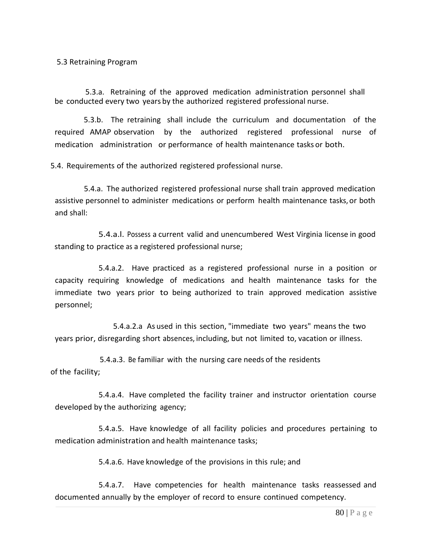5.3 Retraining Program

 5.3.a. Retraining of the approved medication administration personnel shall be conducted every two years by the authorized registered professional nurse.

5.3.b. The retraining shall include the curriculum and documentation of the required AMAP observation by the authorized registered professional nurse of medication administration or performance of health maintenance tasks or both.

5.4. Requirements of the authorized registered professional nurse.

5.4.a. The authorized registered professional nurse shall train approved medication assistive personnel to administer medications or perform health maintenance tasks, or both and shall:

5.4.a.l. Possess a current valid and unencumbered West Virginia license in good standing to practice as a registered professional nurse;

5.4.a.2. Have practiced as a registered professional nurse in a position or capacity requiring knowledge of medications and health maintenance tasks for the immediate two years prior to being authorized to train approved medication assistive personnel;

5.4.a.2.a As used in this section, "immediate two years" means the two years prior, disregarding short absences, including, but not limited to, vacation or illness.

 5.4.a.3. Be familiar with the nursing care needs of the residents of the facility;

5.4.a.4. Have completed the facility trainer and instructor orientation course developed by the authorizing agency;

5.4.a.5. Have knowledge of all facility policies and procedures pertaining to medication administration and health maintenance tasks;

5.4.a.6. Have knowledge of the provisions in this rule; and

5.4.a.7. Have competencies for health maintenance tasks reassessed and documented annually by the employer of record to ensure continued competency.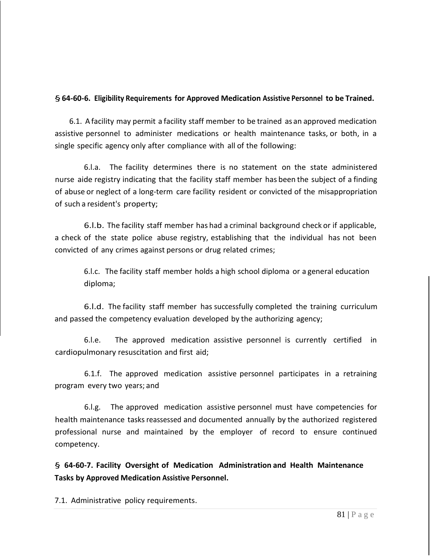## §**64-60-6. Eligibility Requirements for Approved Medication Assistive Personnel to be Trained.**

6.1. A facility may permit a facility staff member to be trained as an approved medication assistive personnel to administer medications or health maintenance tasks, or both, in a single specific agency only after compliance with all of the following:

6.l.a. The facility determines there is no statement on the state administered nurse aide registry indicating that the facility staff member has been the subject of a finding of abuse or neglect of a long-term care facility resident or convicted of the misappropriation of such a resident's property;

6.l.b. The facility staff member has had a criminal background check or if applicable, a check of the state police abuse registry, establishing that the individual has not been convicted of any crimes against persons or drug related crimes;

6.l.c. The facility staff member holds a high school diploma or a general education diploma;

6.l.d. The facility staff member has successfully completed the training curriculum and passed the competency evaluation developed by the authorizing agency;

6.l.e. The approved medication assistive personnel is currently certified in cardiopulmonary resuscitation and first aid;

6.1.f. The approved medication assistive personnel participates in a retraining program every two years; and

6.l.g. The approved medication assistive personnel must have competencies for health maintenance tasks reassessed and documented annually by the authorized registered professional nurse and maintained by the employer of record to ensure continued competency.

§ **64-60-7. Facility Oversight of Medication Administration and Health Maintenance Tasks by Approved Medication Assistive Personnel.**

7.1. Administrative policy requirements.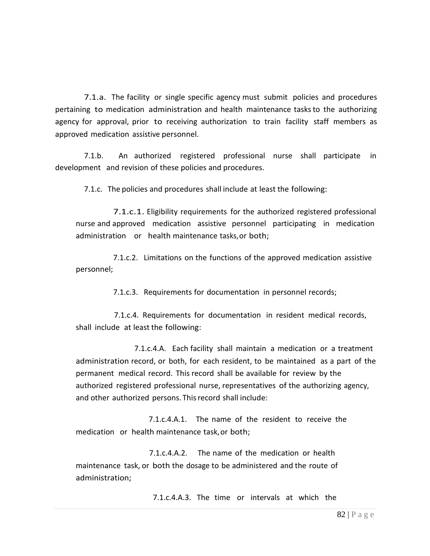7.1.a. The facility or single specific agency must submit policies and procedures pertaining to medication administration and health maintenance tasksto the authorizing agency for approval, prior to receiving authorization to train facility staff members as approved medication assistive personnel.

7.1.b. An authorized registered professional nurse shall participate in development and revision of these policies and procedures.

7.1.c. The policies and procedures shall include at least the following:

7.1.c.1. Eligibility requirements for the authorized registered professional nurse and approved medication assistive personnel participating in medication administration or health maintenance tasks,or both;

7.1.c.2. Limitations on the functions of the approved medication assistive personnel;

7.1.c.3. Requirements for documentation in personnel records;

 7.1.c.4. Requirements for documentation in resident medical records, shall include at least the following:

7.1.c.4.A. Each facility shall maintain a medication or a treatment administration record, or both, for each resident, to be maintained as a part of the permanent medical record. This record shall be available for review by the authorized registered professional nurse, representatives of the authorizing agency, and other authorized persons. Thisrecord shall include:

7.1.c.4.A.1. The name of the resident to receive the medication or health maintenance task,or both;

7.1.c.4.A.2. The name of the medication or health maintenance task, or both the dosage to be administered and the route of administration;

7.1.c.4.A.3. The time or intervals at which the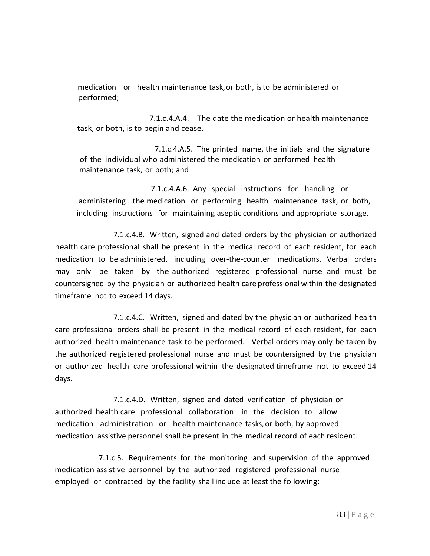medication or health maintenance task,or both, isto be administered or performed;

 7.1.c.4.A.4. The date the medication or health maintenance task, or both, is to begin and cease.

 7.1.c.4.A.5. The printed name, the initials and the signature of the individual who administered the medication or performed health maintenance task, or both; and

 7.1.c.4.A.6. Any special instructions for handling or administering the medication or performing health maintenance task, or both, including instructions for maintaining aseptic conditions and appropriate storage.

7.1.c.4.B. Written, signed and dated orders by the physician or authorized health care professional shall be present in the medical record of each resident, for each medication to be administered, including over-the-counter medications. Verbal orders may only be taken by the authorized registered professional nurse and must be countersigned by the physician or authorized health care professional within the designated timeframe not to exceed 14 days.

7.1.c.4.C. Written, signed and dated by the physician or authorized health care professional orders shall be present in the medical record of each resident, for each authorized health maintenance task to be performed. Verbal orders may only be taken by the authorized registered professional nurse and must be countersigned by the physician or authorized health care professional within the designated timeframe not to exceed 14 days.

7.1.c.4.D. Written, signed and dated verification of physician or authorized health care professional collaboration in the decision to allow medication administration or health maintenance tasks, or both, by approved medication assistive personnel shall be present in the medical record of each resident.

7.1.c.5. Requirements for the monitoring and supervision of the approved medication assistive personnel by the authorized registered professional nurse employed or contracted by the facility shall include at least the following: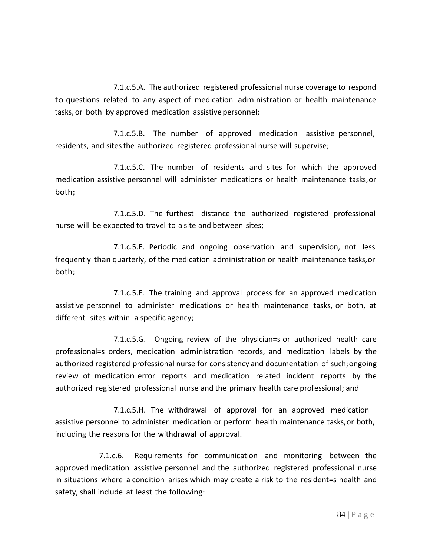7.1.c.5.A. The authorized registered professional nurse coverage to respond to questions related to any aspect of medication administration or health maintenance tasks, or both by approved medication assistive personnel;

7.1.c.5.B. The number of approved medication assistive personnel, residents, and sitesthe authorized registered professional nurse will supervise;

7.1.c.5.C. The number of residents and sites for which the approved medication assistive personnel will administer medications or health maintenance tasks,or both;

7.1.c.5.D. The furthest distance the authorized registered professional nurse will be expected to travel to a site and between sites;

7.1.c.5.E. Periodic and ongoing observation and supervision, not less frequently than quarterly, of the medication administration or health maintenance tasks,or both;

7.1.c.5.F. The training and approval process for an approved medication assistive personnel to administer medications or health maintenance tasks, or both, at different sites within a specific agency;

7.1.c.5.G. Ongoing review of the physician=s or authorized health care professional=s orders, medication administration records, and medication labels by the authorized registered professional nurse for consistency and documentation of such;ongoing review of medication error reports and medication related incident reports by the authorized registered professional nurse and the primary health care professional; and

7.1.c.5.H. The withdrawal of approval for an approved medication assistive personnel to administer medication or perform health maintenance tasks,or both, including the reasons for the withdrawal of approval.

7.1.c.6. Requirements for communication and monitoring between the approved medication assistive personnel and the authorized registered professional nurse in situations where a condition arises which may create a risk to the resident=s health and safety, shall include at least the following: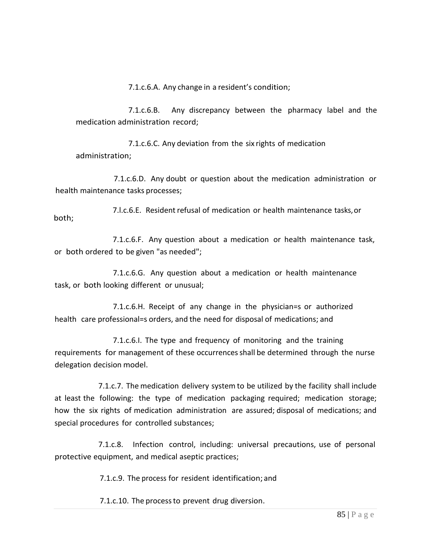7.1.c.6.A. Any change in a resident's condition;

7.1.c.6.B. Any discrepancy between the pharmacy label and the medication administration record;

7.1.c.6.C. Any deviation from the six rights of medication administration;

7.1.c.6.D. Any doubt or question about the medication administration or health maintenance tasks processes;

7.l.c.6.E. Resident refusal of medication or health maintenance tasks,or both;

7.1.c.6.F. Any question about a medication or health maintenance task, or both ordered to be given "as needed";

7.1.c.6.G. Any question about a medication or health maintenance task, or both looking different or unusual;

7.1.c.6.H. Receipt of any change in the physician=s or authorized health care professional=s orders, and the need for disposal of medications; and

7.1.c.6.I. The type and frequency of monitoring and the training requirements for management of these occurrencesshall be determined through the nurse delegation decision model.

7.1.c.7. The medication delivery system to be utilized by the facility shall include at least the following: the type of medication packaging required; medication storage; how the six rights of medication administration are assured; disposal of medications; and special procedures for controlled substances;

7.1.c.8. Infection control, including: universal precautions, use of personal protective equipment, and medical aseptic practices;

7.1.c.9. The process for resident identification; and

7.1.c.10. The processto prevent drug diversion.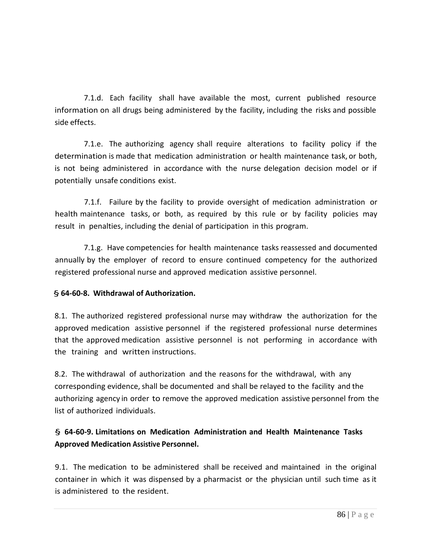7.1.d. Each facility shall have available the most, current published resource information on all drugs being administered by the facility, including the risks and possible side effects.

7.1.e. The authorizing agency shall require alterations to facility policy if the determination is made that medication administration or health maintenance task, or both, is not being administered in accordance with the nurse delegation decision model or if potentially unsafe conditions exist.

7.1.f. Failure by the facility to provide oversight of medication administration or health maintenance tasks, or both, as required by this rule or by facility policies may result in penalties, including the denial of participation in this program.

7.1.g. Have competencies for health maintenance tasks reassessed and documented annually by the employer of record to ensure continued competency for the authorized registered professional nurse and approved medication assistive personnel.

### § **64-60-8. Withdrawal of Authorization.**

8.1. The authorized registered professional nurse may withdraw the authorization for the approved medication assistive personnel if the registered professional nurse determines that the approved medication assistive personnel is not performing in accordance with the training and written instructions.

8.2. The withdrawal of authorization and the reasons for the withdrawal, with any corresponding evidence, shall be documented and shall be relayed to the facility and the authorizing agency in order to remove the approved medication assistive personnel from the list of authorized individuals.

# § **64-60-9. Limitations on Medication Administration and Health Maintenance Tasks Approved Medication Assistive Personnel.**

9.1. The medication to be administered shall be received and maintained in the original container in which it was dispensed by a pharmacist or the physician until such time as it is administered to the resident.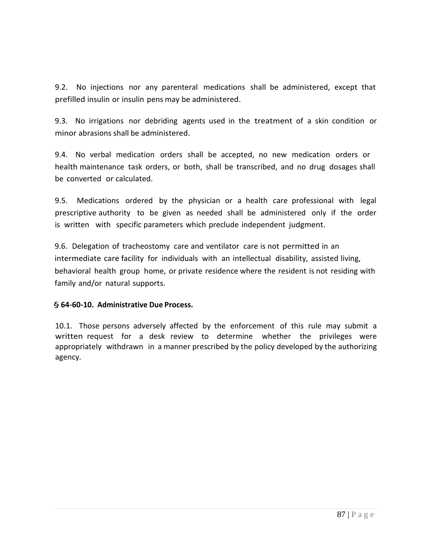9.2. No injections nor any parenteral medications shall be administered, except that prefilled insulin or insulin pens may be administered.

9.3. No irrigations nor debriding agents used in the treatment of a skin condition or minor abrasions shall be administered.

9.4. No verbal medication orders shall be accepted, no new medication orders or health maintenance task orders, or both, shall be transcribed, and no drug dosages shall be converted or calculated.

9.5. Medications ordered by the physician or a health care professional with legal prescriptive authority to be given as needed shall be administered only if the order is written with specific parameters which preclude independent judgment.

9.6. Delegation of tracheostomy care and ventilator care is not permitted in an intermediate care facility for individuals with an intellectual disability, assisted living, behavioral health group home, or private residence where the resident is not residing with family and/or natural supports.

### § **64-60-10. Administrative Due Process.**

10.1. Those persons adversely affected by the enforcement of this rule may submit a written request for a desk review to determine whether the privileges were appropriately withdrawn in a manner prescribed by the policy developed by the authorizing agency.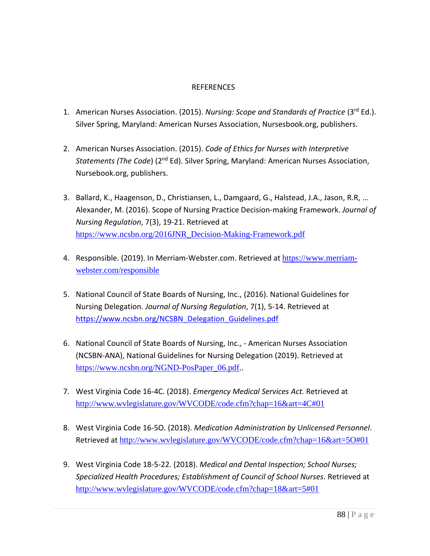#### REFERENCES

- 1. American Nurses Association. (2015). *Nursing: Scope and Standards of Practice* (3<sup>rd</sup> Ed.). Silver Spring, Maryland: American Nurses Association, Nursesbook.org, publishers.
- 2. American Nurses Association. (2015). *Code of Ethics for Nurses with Interpretive Statements (The Code*) (2nd Ed). Silver Spring, Maryland: American Nurses Association, Nursebook.org, publishers.
- 3. Ballard, K., Haagenson, D., Christiansen, L., Damgaard, G., Halstead, J.A., Jason, R.R, … Alexander, M. (2016). Scope of Nursing Practice Decision-making Framework. *Journal of Nursing Regulation*, 7(3), 19-21. Retrieved at https://www.ncsbn.org/2016JNR\_Decision-Making-Framework.pdf
- 4. Responsible. (2019). In Merriam-Webster.com. Retrieved at https://www.merriamwebster.com/responsible
- 5. National Council of State Boards of Nursing, Inc., (2016). National Guidelines for Nursing Delegation*. Journal of Nursing Regulation*, 7(1), 5-14. Retrieved at https://www.ncsbn.org/NCSBN\_Delegation\_Guidelines.pdf
- 6. National Council of State Boards of Nursing, Inc., American Nurses Association (NCSBN-ANA), National Guidelines for Nursing Delegation (2019). Retrieved at https://www.ncsbn.org/NGND-PosPaper\_06.pdf..
- 7. West Virginia Code 16-4C. (2018). *Emergency Medical Services Act.* Retrieved at http://www.wvlegislature.gov/WVCODE/code.cfm?chap=16&art=4C#01
- 8. West Virginia Code 16-5O. (2018). *Medication Administration by Unlicensed Personnel*. Retrieved at http://www.wvlegislature.gov/WVCODE/code.cfm?chap=16&art=5O#01
- 9. West Virginia Code 18-5-22. (2018). *Medical and Dental Inspection; School Nurses; Specialized Health Procedures; Establishment of Council of School Nurses.* Retrieved at http://www.wvlegislature.gov/WVCODE/code.cfm?chap=18&art=5#01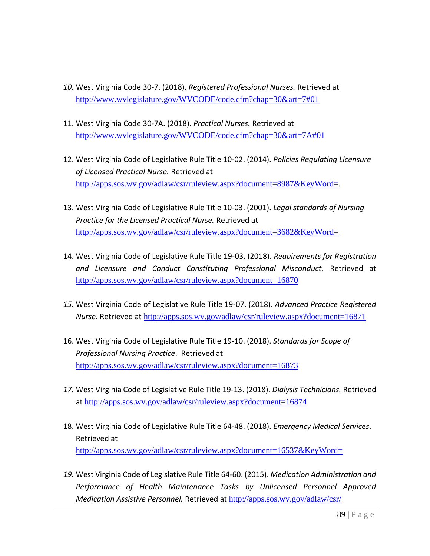- *10.* West Virginia Code 30-7. (2018). *Registered Professional Nurses.* Retrieved at http://www.wvlegislature.gov/WVCODE/code.cfm?chap=30&art=7#01
- 11. West Virginia Code 30-7A. (2018). *Practical Nurses.* Retrieved at http://www.wvlegislature.gov/WVCODE/code.cfm?chap=30&art=7A#01
- 12. West Virginia Code of Legislative Rule Title 10-02. (2014). *Policies Regulating Licensure of Licensed Practical Nurse.* Retrieved at http://apps.sos.wv.gov/adlaw/csr/ruleview.aspx?document=8987&KeyWord=.
- 13. West Virginia Code of Legislative Rule Title 10-03. (2001). *Legal standards of Nursing Practice for the Licensed Practical Nurse.* Retrieved at http://apps.sos.wv.gov/adlaw/csr/ruleview.aspx?document=3682&KeyWord=
- 14. West Virginia Code of Legislative Rule Title 19-03. (2018). *Requirements for Registration and Licensure and Conduct Constituting Professional Misconduct.* Retrieved at http://apps.sos.wv.gov/adlaw/csr/ruleview.aspx?document=16870
- *15.* West Virginia Code of Legislative Rule Title 19-07. (2018). *Advanced Practice Registered Nurse.* Retrieved at http://apps.sos.wv.gov/adlaw/csr/ruleview.aspx?document=16871
- 16. West Virginia Code of Legislative Rule Title 19-10. (2018). *Standards for Scope of Professional Nursing Practice*. Retrieved at http://apps.sos.wv.gov/adlaw/csr/ruleview.aspx?document=16873
- *17.* West Virginia Code of Legislative Rule Title 19-13. (2018). *Dialysis Technicians.* Retrieved at http://apps.sos.wv.gov/adlaw/csr/ruleview.aspx?document=16874
- 18. West Virginia Code of Legislative Rule Title 64-48. (2018). *Emergency Medical Services*. Retrieved at http://apps.sos.wv.gov/adlaw/csr/ruleview.aspx?document=16537&KeyWord=
- *19.* West Virginia Code of Legislative Rule Title 64-60. (2015). *Medication Administration and Performance of Health Maintenance Tasks by Unlicensed Personnel Approved Medication Assistive Personnel.* Retrieved at http://apps.sos.wv.gov/adlaw/csr/